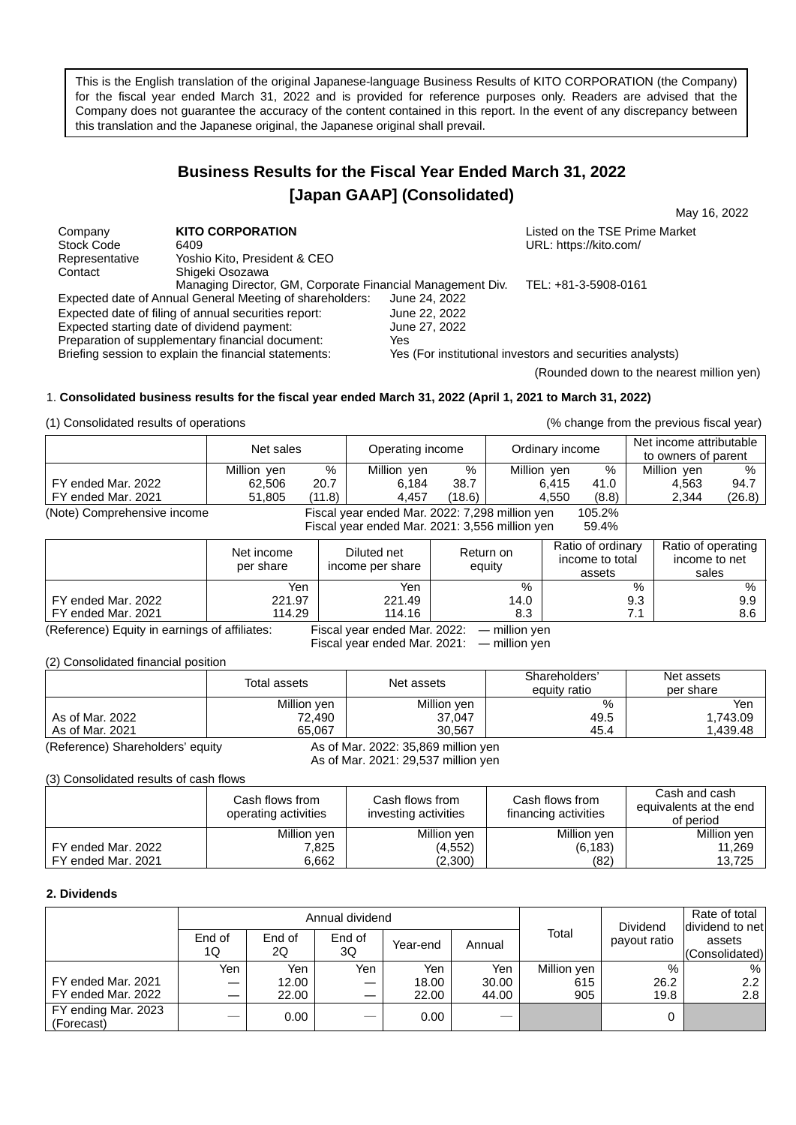This is the English translation of the original Japanese-language Business Results of KITO CORPORATION (the Company) for the fiscal year ended March 31, 2022 and is provided for reference purposes only. Readers are advised that the Company does not guarantee the accuracy of the content contained in this report. In the event of any discrepancy between this translation and the Japanese original, the Japanese original shall prevail.

# **Business Results for the Fiscal Year Ended March 31, 2022 [Japan GAAP] (Consolidated)**

May 16, 2022

Company **KITO CORPORATION**<br>
Stock Code 6409 6409 Stock Code 6409 6409<br>
Representative Yoshio Kito, President & CEO **New York Containers** URL: https://kito.com/ Representative Yoshio Kito, President & CEO<br>
Contact Shigeki Osozawa Shigeki Osozawa Managing Director, GM, Corporate Financial Management Div. TEL: +81-3-5908-0161<br>ual General Meeting of shareholders: June 24, 2022 Expected date of Annual General Meeting of shareholders: Expected date of filing of annual securities report: June 22, 2022<br>Expected starting date of dividend payment: June 27, 2022 Expected starting date of dividend payment: Preparation of supplementary financial document: Yes Yes (For institutional investors and securities analysts)

(Rounded down to the nearest million yen)

# 1. **Consolidated business results for the fiscal year ended March 31, 2022 (April 1, 2021 to March 31, 2022)**

(1) Consolidated results of operations (% change from the previous fiscal year)

|                             | Net sales   |        | Operating income                               |        | Ordinary income |        | Net income attributable<br>to owners of parent |        |
|-----------------------------|-------------|--------|------------------------------------------------|--------|-----------------|--------|------------------------------------------------|--------|
|                             | Million yen | %      | Million yen                                    | $\%$   | Million yen     | %      | Million yen                                    | $\%$   |
| FY ended Mar. 2022          | 62.506      | 20.7   | 6.184                                          | 38.7   | 6.415           | 41.0   | 4.563                                          | 94.7   |
| FY ended Mar. 2021          | 51,805      | (11.8) | 4.457                                          | (18.6) | 4.550           | (8.8)  | 2.344                                          | (26.8) |
| (Note) Comprehensive income |             |        | Fiscal year ended Mar. 2022: 7,298 million yen |        |                 | 105.2% |                                                |        |

Fiscal year ended Mar. 2021: 3,556 million yen 59.4%

|                    | Net income<br>per share | Diluted net<br>income per share | Return on<br>equity | Ratio of ordinary<br>income to total<br>assets | Ratio of operating<br>income to net<br>sales |
|--------------------|-------------------------|---------------------------------|---------------------|------------------------------------------------|----------------------------------------------|
|                    | Yen                     | Yen                             | %                   | %                                              | %                                            |
| FY ended Mar. 2022 | 221.97                  | 221.49                          | 14.0                | 9.3                                            | 9.9                                          |
| FY ended Mar. 2021 | 114.29                  | 114.16                          | 8.3                 | 71                                             | 8.6                                          |

(Reference) Equity in earnings of affiliates: Fiscal year ended Mar. 2022: ― million yen Fiscal year ended Mar. 2021: ― million yen

(2) Consolidated financial position

|                 | Total assets | Net assets  | Shareholders'<br>equity ratio | Net assets<br>per share |
|-----------------|--------------|-------------|-------------------------------|-------------------------|
|                 | Million yen  | Million yen | %                             | Yen                     |
| As of Mar, 2022 | 72,490       | 37,047      | 49.5                          | 1,743.09                |
| As of Mar. 2021 | 65.067       | 30.567      | 45.4                          | .439.48                 |

(Reference) Shareholders' equity As of Mar. 2022: 35,869 million yen As of Mar. 2021: 29,537 million yen

(3) Consolidated results of cash flows

|                    | Cash flows from<br>operating activities | Cash flows from<br>investing activities | Cash flows from<br>financing activities | Cash and cash<br>equivalents at the end<br>of period |
|--------------------|-----------------------------------------|-----------------------------------------|-----------------------------------------|------------------------------------------------------|
|                    | Million yen                             | Million yen                             | Million yen                             | Million yen                                          |
| FY ended Mar. 2022 | 7,825                                   | (4,552)                                 | (6, 183)                                | 11,269                                               |
| FY ended Mar. 2021 | 6.662                                   | (2,300)                                 | (82)                                    | 13.725                                               |

## **2. Dividends**

|                                   |              |              | Annual dividend |          |        |             | Dividend     | Rate of total<br>dividend to net |
|-----------------------------------|--------------|--------------|-----------------|----------|--------|-------------|--------------|----------------------------------|
|                                   | End of<br>1Q | End of<br>2Q | End of<br>3Q    | Year-end | Annual | Total       | payout ratio | assets<br>(Consolidated)         |
|                                   | Yen.         | Yen          | Yen             | Yen      | Yen    | Million yen | $\%$         | %                                |
| FY ended Mar. 2021                |              | 12.00        |                 | 18.00    | 30.00  | 615         | 26.2         | 2.2                              |
| FY ended Mar. 2022                |              | 22.00        |                 | 22.00    | 44.00  | 905         | 19.8         | 2.8                              |
| FY ending Mar. 2023<br>(Forecast) |              | 0.00         |                 | 0.00     |        |             |              |                                  |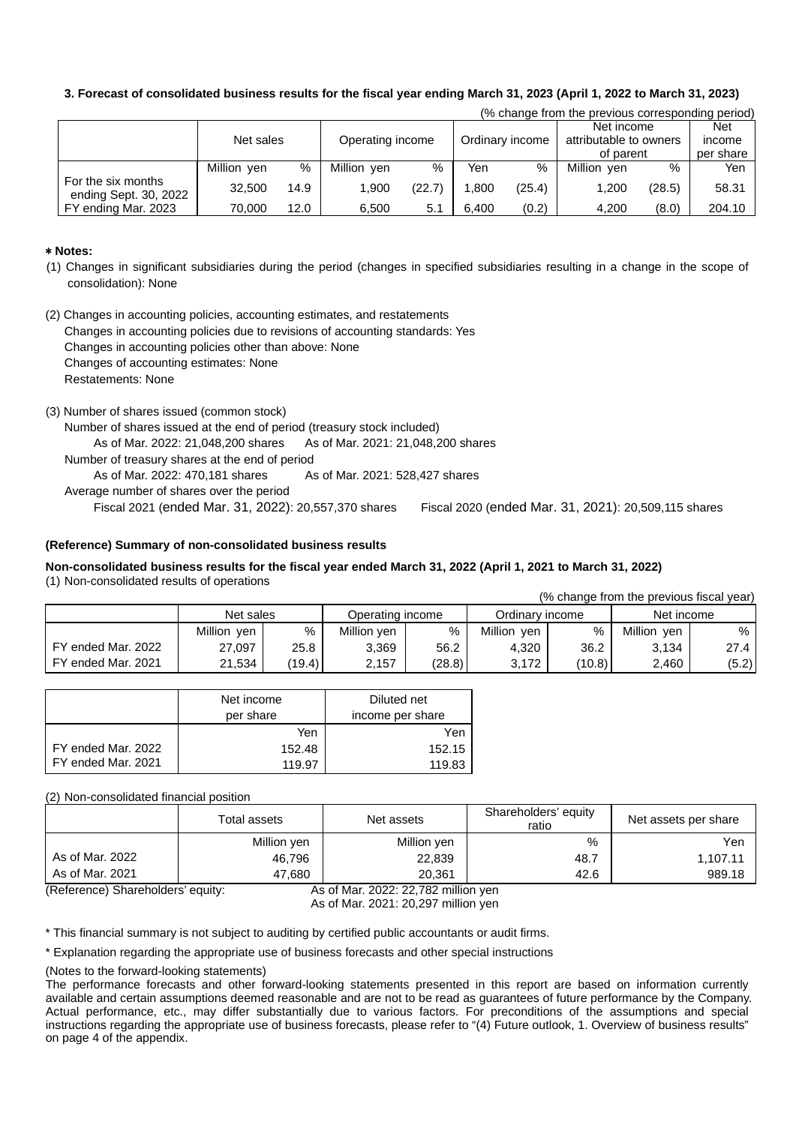# **3. Forecast of consolidated business results for the fiscal year ending March 31, 2023 (April 1, 2022 to March 31, 2023)**

|                                             |             |      |                  |        |                 |        | (% change from the previous corresponding period) |        |                            |
|---------------------------------------------|-------------|------|------------------|--------|-----------------|--------|---------------------------------------------------|--------|----------------------------|
|                                             | Net sales   |      | Operating income |        | Ordinary income |        | Net income<br>attributable to owners<br>of parent |        | Net<br>income<br>per share |
|                                             | Million yen | %    | Million yen      | $\%$   | Yen             | %      | Million ven                                       | %      | Yen                        |
| For the six months<br>ending Sept. 30, 2022 | 32.500      | 14.9 | 1.900            | (22.7) | .800            | (25.4) | 1.200                                             | (28.5) | 58.31                      |
| FY ending Mar. 2023                         | 70.000      | 12.0 | 6.500            | 5.1    | 6.400           | (0.2)  | 4.200                                             | (8.0)  | 204.10                     |

## \* **Notes:**

- (1) Changes in significant subsidiaries during the period (changes in specified subsidiaries resulting in a change in the scope of consolidation): None
- (2) Changes in accounting policies, accounting estimates, and restatements Changes in accounting policies due to revisions of accounting standards: Yes Changes in accounting policies other than above: None Changes of accounting estimates: None Restatements: None

(3) Number of shares issued (common stock) Number of shares issued at the end of period (treasury stock included) As of Mar. 2022: 21,048,200 shares As of Mar. 2021: 21,048,200 shares Number of treasury shares at the end of period As of Mar. 2022: 470,181 shares As of Mar. 2021: 528,427 shares Average number of shares over the period Fiscal 2021 (ended Mar. 31, 2022): 20,557,370 shares Fiscal 2020 (ended Mar. 31, 2021): 20,509,115 shares

## **(Reference) Summary of non-consolidated business results**

#### **Non-consolidated business results for the fiscal year ended March 31, 2022 (April 1, 2021 to March 31, 2022)** (1) Non-consolidated results of operations (% change from the previous fiscal year)

|                        |             |        |                  |        |                 |        | o change from the previous fiscal year) |        |
|------------------------|-------------|--------|------------------|--------|-----------------|--------|-----------------------------------------|--------|
|                        | Net sales   |        | Operating income |        | Ordinarv income |        | Net income                              |        |
|                        | Million ven | %      | Million ven      | %      | Million<br>ven  | %      | Million<br>ven                          | %      |
| ended Mar. 2022<br>FY. | 27,097      | 25.8   | 3.369            | 56.2   | 4,320           | 36.2   | 3.134                                   | 27.4 l |
| ended Mar. 2021<br>FY  | 21,534      | (19.4) | 2,157            | (28.8) | 3,172           | (10.8) | 2,460                                   | (5.2)  |

|                    | Net income<br>per share | Diluted net<br>income per share |
|--------------------|-------------------------|---------------------------------|
|                    | Yen                     | Yen                             |
| FY ended Mar. 2022 | 152.48                  | 152.15                          |
| FY ended Mar, 2021 | 119.97                  | 119.83                          |

(2) Non-consolidated financial position

|                 | Total assets | Net assets  | Shareholders' equity<br>ratio | Net assets per share |
|-----------------|--------------|-------------|-------------------------------|----------------------|
|                 | Million yen  | Million yen | %                             | Yen                  |
| As of Mar, 2022 | 46,796       | 22,839      | 48.7                          | 1,107.11             |
| As of Mar. 2021 | 47,680       | 20,361      | 42.6                          | 989.18               |

(Reference) Shareholders' equity: As of Mar. 2022: 22,782 million yen As of Mar. 2021: 20,297 million yen

\* This financial summary is not subject to auditing by certified public accountants or audit firms.

\* Explanation regarding the appropriate use of business forecasts and other special instructions

(Notes to the forward-looking statements)

The performance forecasts and other forward-looking statements presented in this report are based on information currently available and certain assumptions deemed reasonable and are not to be read as guarantees of future performance by the Company. Actual performance, etc., may differ substantially due to various factors. For preconditions of the assumptions and special instructions regarding the appropriate use of business forecasts, please refer to "(4) Future outlook, 1. Overview of business results" on page 4 of the appendix.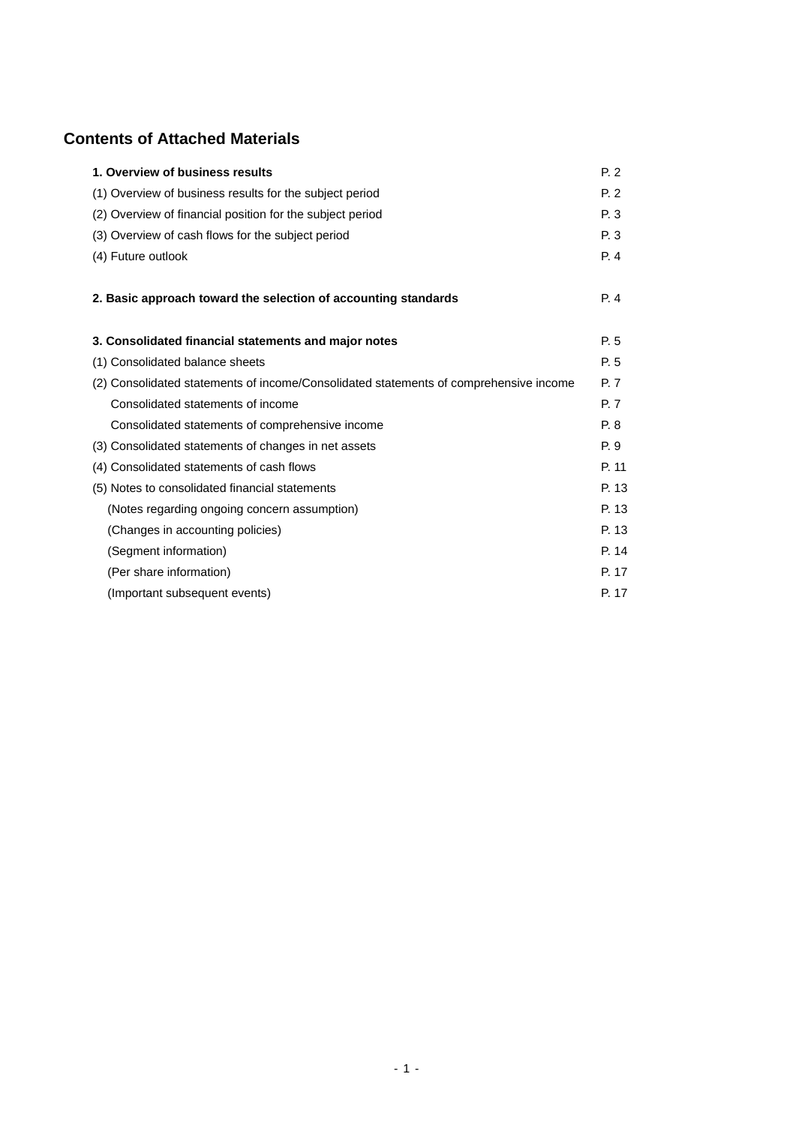# **Contents of Attached Materials**

| 1. Overview of business results                                                       | P.2   |
|---------------------------------------------------------------------------------------|-------|
| (1) Overview of business results for the subject period                               | P.2   |
| (2) Overview of financial position for the subject period                             | P. 3  |
| (3) Overview of cash flows for the subject period                                     | P. 3  |
| (4) Future outlook                                                                    | P. 4  |
| 2. Basic approach toward the selection of accounting standards                        | P. 4  |
| 3. Consolidated financial statements and major notes                                  | P. 5  |
| (1) Consolidated balance sheets                                                       | P. 5  |
| (2) Consolidated statements of income/Consolidated statements of comprehensive income | P. 7  |
| Consolidated statements of income                                                     | P. 7  |
| Consolidated statements of comprehensive income                                       | P. 8  |
| (3) Consolidated statements of changes in net assets                                  | P. 9  |
| (4) Consolidated statements of cash flows                                             | P. 11 |
| (5) Notes to consolidated financial statements                                        | P. 13 |
| (Notes regarding ongoing concern assumption)                                          | P. 13 |
| (Changes in accounting policies)                                                      | P. 13 |
| (Segment information)                                                                 | P. 14 |
| (Per share information)                                                               | P. 17 |
| (Important subsequent events)                                                         | P. 17 |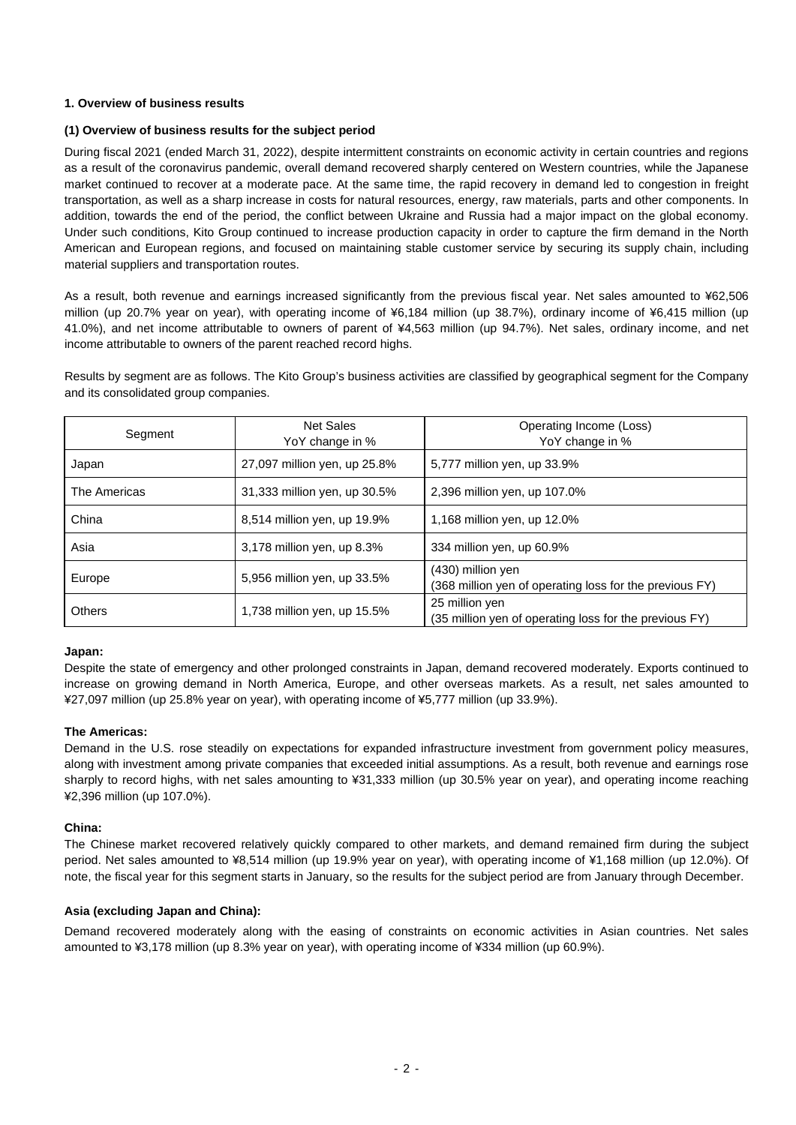# **1. Overview of business results**

# **(1) Overview of business results for the subject period**

During fiscal 2021 (ended March 31, 2022), despite intermittent constraints on economic activity in certain countries and regions as a result of the coronavirus pandemic, overall demand recovered sharply centered on Western countries, while the Japanese market continued to recover at a moderate pace. At the same time, the rapid recovery in demand led to congestion in freight transportation, as well as a sharp increase in costs for natural resources, energy, raw materials, parts and other components. In addition, towards the end of the period, the conflict between Ukraine and Russia had a major impact on the global economy. Under such conditions, Kito Group continued to increase production capacity in order to capture the firm demand in the North American and European regions, and focused on maintaining stable customer service by securing its supply chain, including material suppliers and transportation routes.

As a result, both revenue and earnings increased significantly from the previous fiscal year. Net sales amounted to ¥62,506 million (up 20.7% year on year), with operating income of ¥6,184 million (up 38.7%), ordinary income of ¥6,415 million (up 41.0%), and net income attributable to owners of parent of ¥4,563 million (up 94.7%). Net sales, ordinary income, and net income attributable to owners of the parent reached record highs.

Results by segment are as follows. The Kito Group's business activities are classified by geographical segment for the Company and its consolidated group companies.

| Segment       | Net Sales<br>YoY change in % | Operating Income (Loss)<br>YoY change in %                                   |
|---------------|------------------------------|------------------------------------------------------------------------------|
| Japan         | 27,097 million yen, up 25.8% | 5,777 million yen, up 33.9%                                                  |
| The Americas  | 31,333 million yen, up 30.5% | 2,396 million yen, up 107.0%                                                 |
| China         | 8,514 million yen, up 19.9%  | 1,168 million yen, up 12.0%                                                  |
| Asia          | 3,178 million yen, up 8.3%   | 334 million yen, up 60.9%                                                    |
| Europe        | 5,956 million yen, up 33.5%  | (430) million yen<br>(368 million yen of operating loss for the previous FY) |
| <b>Others</b> | 1,738 million yen, up 15.5%  | 25 million yen<br>(35 million yen of operating loss for the previous FY)     |

#### **Japan:**

Despite the state of emergency and other prolonged constraints in Japan, demand recovered moderately. Exports continued to increase on growing demand in North America, Europe, and other overseas markets. As a result, net sales amounted to ¥27,097 million (up 25.8% year on year), with operating income of ¥5,777 million (up 33.9%).

#### **The Americas:**

Demand in the U.S. rose steadily on expectations for expanded infrastructure investment from government policy measures, along with investment among private companies that exceeded initial assumptions. As a result, both revenue and earnings rose sharply to record highs, with net sales amounting to ¥31,333 million (up 30.5% year on year), and operating income reaching ¥2,396 million (up 107.0%).

#### **China:**

The Chinese market recovered relatively quickly compared to other markets, and demand remained firm during the subject period. Net sales amounted to ¥8,514 million (up 19.9% year on year), with operating income of ¥1,168 million (up 12.0%). Of note, the fiscal year for this segment starts in January, so the results for the subject period are from January through December.

# **Asia (excluding Japan and China):**

Demand recovered moderately along with the easing of constraints on economic activities in Asian countries. Net sales amounted to ¥3,178 million (up 8.3% year on year), with operating income of ¥334 million (up 60.9%).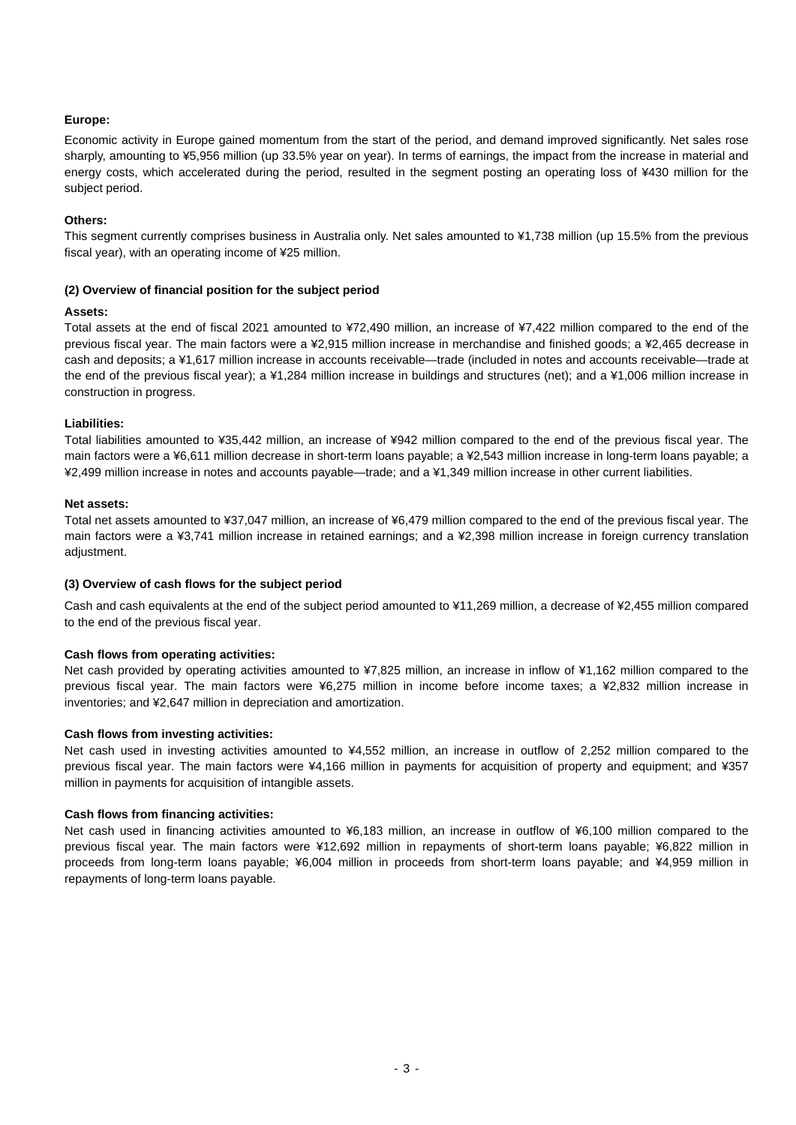# **Europe:**

Economic activity in Europe gained momentum from the start of the period, and demand improved significantly. Net sales rose sharply, amounting to ¥5,956 million (up 33.5% year on year). In terms of earnings, the impact from the increase in material and energy costs, which accelerated during the period, resulted in the segment posting an operating loss of ¥430 million for the subject period.

#### **Others:**

This segment currently comprises business in Australia only. Net sales amounted to ¥1,738 million (up 15.5% from the previous fiscal year), with an operating income of ¥25 million.

#### **(2) Overview of financial position for the subject period**

#### **Assets:**

Total assets at the end of fiscal 2021 amounted to ¥72,490 million, an increase of ¥7,422 million compared to the end of the previous fiscal year. The main factors were a ¥2,915 million increase in merchandise and finished goods; a ¥2,465 decrease in cash and deposits; a ¥1,617 million increase in accounts receivable—trade (included in notes and accounts receivable—trade at the end of the previous fiscal year); a ¥1,284 million increase in buildings and structures (net); and a ¥1,006 million increase in construction in progress.

## **Liabilities:**

Total liabilities amounted to ¥35,442 million, an increase of ¥942 million compared to the end of the previous fiscal year. The main factors were a ¥6,611 million decrease in short-term loans payable; a ¥2,543 million increase in long-term loans payable; a ¥2,499 million increase in notes and accounts payable—trade; and a ¥1,349 million increase in other current liabilities.

#### **Net assets:**

Total net assets amounted to ¥37,047 million, an increase of ¥6,479 million compared to the end of the previous fiscal year. The main factors were a ¥3,741 million increase in retained earnings; and a ¥2,398 million increase in foreign currency translation adjustment.

#### **(3) Overview of cash flows for the subject period**

Cash and cash equivalents at the end of the subject period amounted to ¥11,269 million, a decrease of ¥2,455 million compared to the end of the previous fiscal year.

#### **Cash flows from operating activities:**

Net cash provided by operating activities amounted to ¥7,825 million, an increase in inflow of ¥1,162 million compared to the previous fiscal year. The main factors were ¥6,275 million in income before income taxes; a ¥2,832 million increase in inventories; and ¥2,647 million in depreciation and amortization.

#### **Cash flows from investing activities:**

Net cash used in investing activities amounted to ¥4,552 million, an increase in outflow of 2,252 million compared to the previous fiscal year. The main factors were ¥4,166 million in payments for acquisition of property and equipment; and ¥357 million in payments for acquisition of intangible assets.

#### **Cash flows from financing activities:**

Net cash used in financing activities amounted to ¥6,183 million, an increase in outflow of ¥6,100 million compared to the previous fiscal year. The main factors were ¥12,692 million in repayments of short-term loans payable; ¥6,822 million in proceeds from long-term loans payable; ¥6,004 million in proceeds from short-term loans payable; and ¥4,959 million in repayments of long-term loans payable.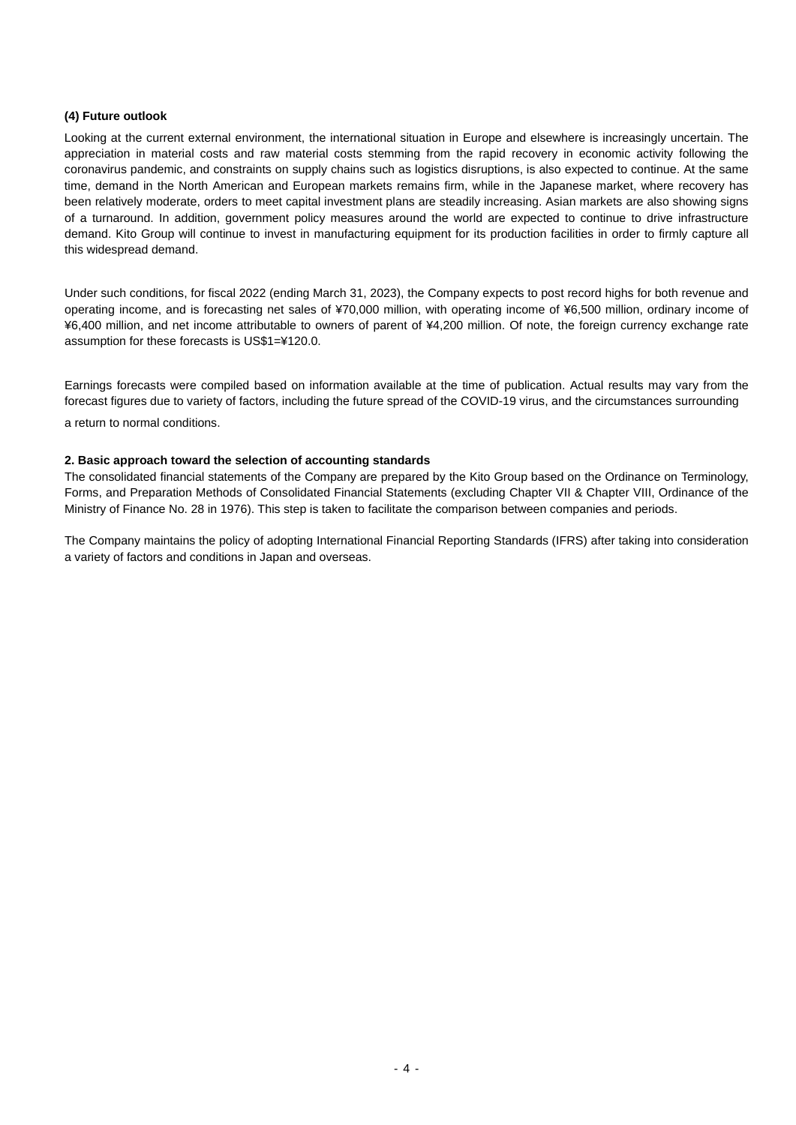#### **(4) Future outlook**

Looking at the current external environment, the international situation in Europe and elsewhere is increasingly uncertain. The appreciation in material costs and raw material costs stemming from the rapid recovery in economic activity following the coronavirus pandemic, and constraints on supply chains such as logistics disruptions, is also expected to continue. At the same time, demand in the North American and European markets remains firm, while in the Japanese market, where recovery has been relatively moderate, orders to meet capital investment plans are steadily increasing. Asian markets are also showing signs of a turnaround. In addition, government policy measures around the world are expected to continue to drive infrastructure demand. Kito Group will continue to invest in manufacturing equipment for its production facilities in order to firmly capture all this widespread demand.

Under such conditions, for fiscal 2022 (ending March 31, 2023), the Company expects to post record highs for both revenue and operating income, and is forecasting net sales of ¥70,000 million, with operating income of ¥6,500 million, ordinary income of ¥6,400 million, and net income attributable to owners of parent of ¥4,200 million. Of note, the foreign currency exchange rate assumption for these forecasts is US\$1=¥120.0.

Earnings forecasts were compiled based on information available at the time of publication. Actual results may vary from the forecast figures due to variety of factors, including the future spread of the COVID-19 virus, and the circumstances surrounding a return to normal conditions.

## **2. Basic approach toward the selection of accounting standards**

The consolidated financial statements of the Company are prepared by the Kito Group based on the Ordinance on Terminology, Forms, and Preparation Methods of Consolidated Financial Statements (excluding Chapter VII & Chapter VIII, Ordinance of the Ministry of Finance No. 28 in 1976). This step is taken to facilitate the comparison between companies and periods.

The Company maintains the policy of adopting International Financial Reporting Standards (IFRS) after taking into consideration a variety of factors and conditions in Japan and overseas.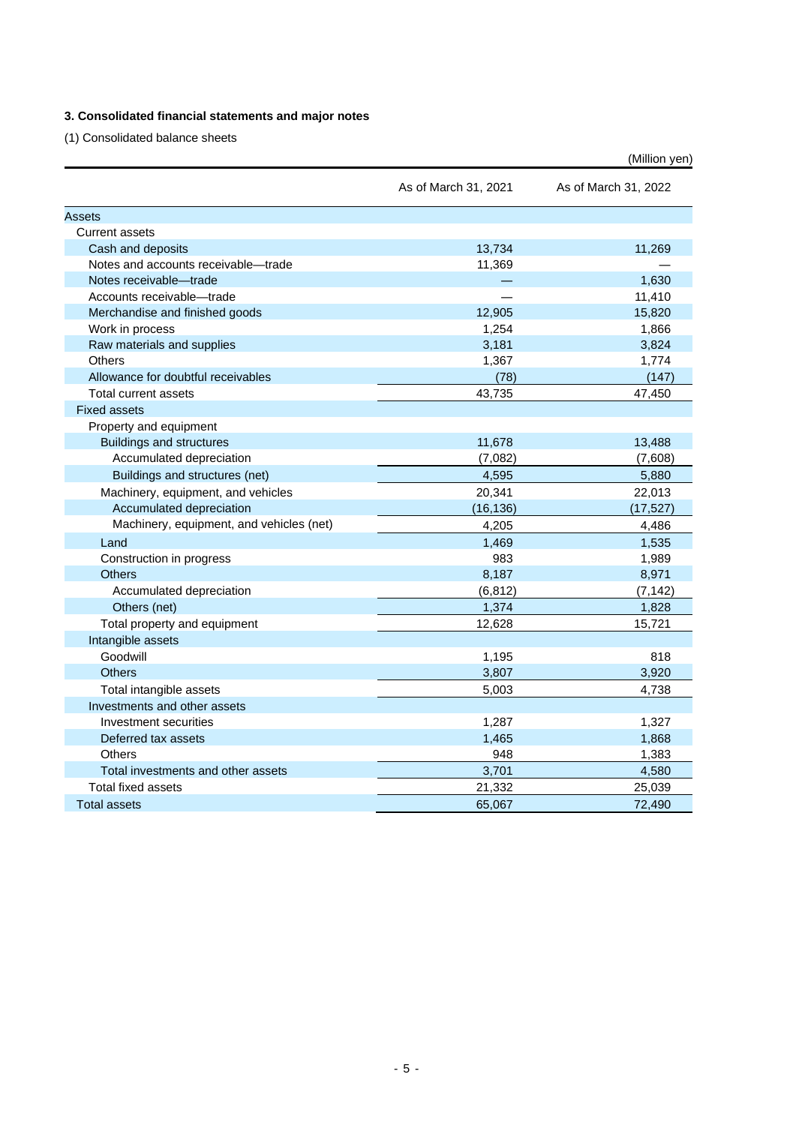# **3. Consolidated financial statements and major notes**

(1) Consolidated balance sheets

|                                          |                      | (Million yen)        |
|------------------------------------------|----------------------|----------------------|
|                                          | As of March 31, 2021 | As of March 31, 2022 |
| <b>Assets</b>                            |                      |                      |
| <b>Current assets</b>                    |                      |                      |
| Cash and deposits                        | 13,734               | 11,269               |
| Notes and accounts receivable-trade      | 11,369               |                      |
| Notes receivable-trade                   |                      | 1,630                |
| Accounts receivable-trade                |                      | 11,410               |
| Merchandise and finished goods           | 12,905               | 15,820               |
| Work in process                          | 1,254                | 1,866                |
| Raw materials and supplies               | 3,181                | 3,824                |
| Others                                   | 1,367                | 1,774                |
| Allowance for doubtful receivables       | (78)                 | (147)                |
| Total current assets                     | 43.735               | 47,450               |
| <b>Fixed assets</b>                      |                      |                      |
| Property and equipment                   |                      |                      |
| <b>Buildings and structures</b>          | 11,678               | 13,488               |
| Accumulated depreciation                 | (7,082)              | (7,608)              |
| Buildings and structures (net)           | 4,595                | 5,880                |
| Machinery, equipment, and vehicles       | 20,341               | 22,013               |
| Accumulated depreciation                 | (16, 136)            | (17, 527)            |
| Machinery, equipment, and vehicles (net) | 4,205                | 4,486                |
| Land                                     | 1,469                | 1,535                |
| Construction in progress                 | 983                  | 1,989                |
| <b>Others</b>                            | 8,187                | 8,971                |
| Accumulated depreciation                 | (6, 812)             | (7, 142)             |
| Others (net)                             | 1,374                | 1,828                |
| Total property and equipment             | 12,628               | 15,721               |
| Intangible assets                        |                      |                      |
| Goodwill                                 | 1,195                | 818                  |
| <b>Others</b>                            | 3,807                | 3,920                |
| Total intangible assets                  | 5,003                | 4,738                |
| Investments and other assets             |                      |                      |
| Investment securities                    | 1,287                | 1,327                |
| Deferred tax assets                      | 1,465                | 1,868                |
| <b>Others</b>                            | 948                  | 1,383                |
| Total investments and other assets       | 3,701                | 4,580                |
| <b>Total fixed assets</b>                | 21,332               | 25,039               |
| <b>Total assets</b>                      | 65,067               | 72.490               |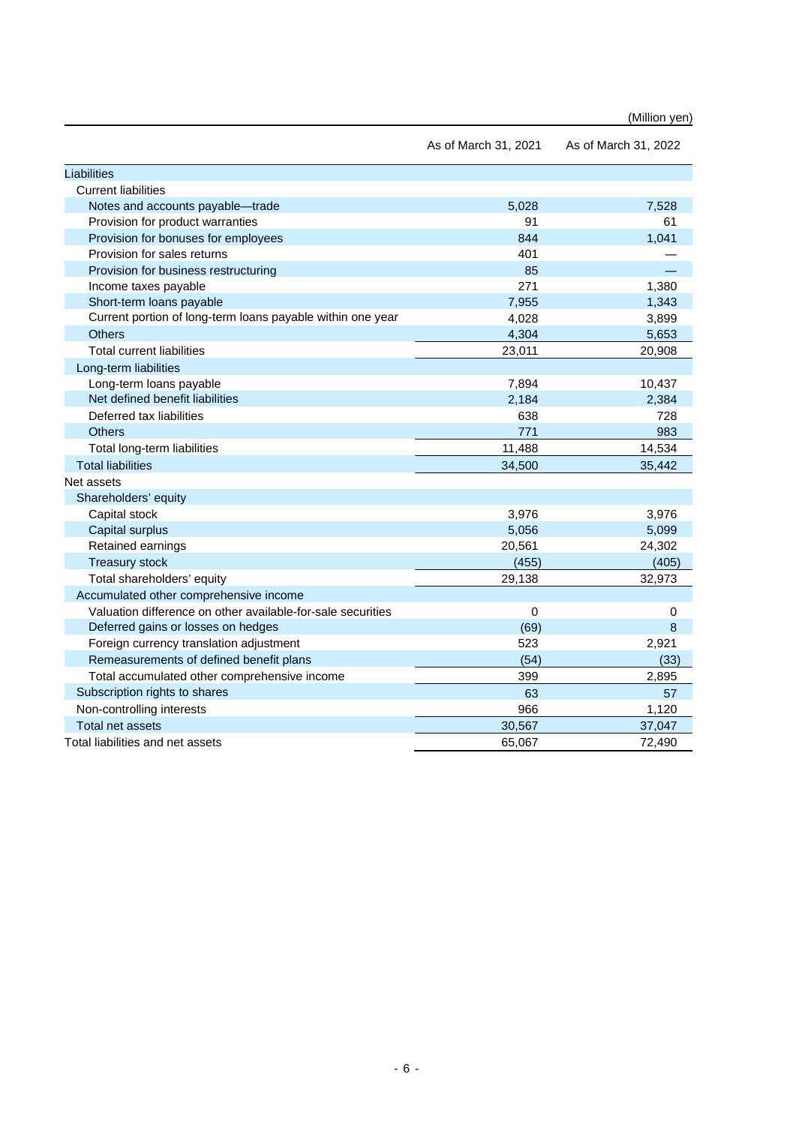|  |  |  |  | (Million yen) |
|--|--|--|--|---------------|
|--|--|--|--|---------------|

|                                                             | As of March 31, 2021 | As of March 31, 2022 |
|-------------------------------------------------------------|----------------------|----------------------|
| Liabilities                                                 |                      |                      |
| <b>Current liabilities</b>                                  |                      |                      |
| Notes and accounts payable-trade                            | 5,028                | 7,528                |
| Provision for product warranties                            | 91                   | 61                   |
| Provision for bonuses for employees                         | 844                  | 1,041                |
| Provision for sales returns                                 | 401                  |                      |
| Provision for business restructuring                        | 85                   |                      |
| Income taxes payable                                        | 271                  | 1,380                |
| Short-term loans payable                                    | 7,955                | 1,343                |
| Current portion of long-term loans payable within one year  | 4,028                | 3,899                |
| <b>Others</b>                                               | 4,304                | 5,653                |
| <b>Total current liabilities</b>                            | 23,011               | 20,908               |
| Long-term liabilities                                       |                      |                      |
| Long-term loans payable                                     | 7,894                | 10,437               |
| Net defined benefit liabilities                             | 2,184                | 2,384                |
| Deferred tax liabilities                                    | 638                  | 728                  |
| <b>Others</b>                                               | 771                  | 983                  |
| Total long-term liabilities                                 | 11,488               | 14,534               |
| <b>Total liabilities</b>                                    | 34,500               | 35,442               |
| Net assets                                                  |                      |                      |
| Shareholders' equity                                        |                      |                      |
| Capital stock                                               | 3,976                | 3,976                |
| Capital surplus                                             | 5,056                | 5,099                |
| Retained earnings                                           | 20,561               | 24,302               |
| <b>Treasury stock</b>                                       | (455)                | (405)                |
| Total shareholders' equity                                  | 29,138               | 32,973               |
| Accumulated other comprehensive income                      |                      |                      |
| Valuation difference on other available-for-sale securities | $\Omega$             | 0                    |
| Deferred gains or losses on hedges                          | (69)                 | 8                    |
| Foreign currency translation adjustment                     | 523                  | 2,921                |
| Remeasurements of defined benefit plans                     | (54)                 | (33)                 |
| Total accumulated other comprehensive income                | 399                  | 2,895                |
| Subscription rights to shares                               | 63                   | 57                   |
| Non-controlling interests                                   | 966                  | 1,120                |
| <b>Total net assets</b>                                     | 30,567               | 37,047               |
| Total liabilities and net assets                            | 65,067               | 72,490               |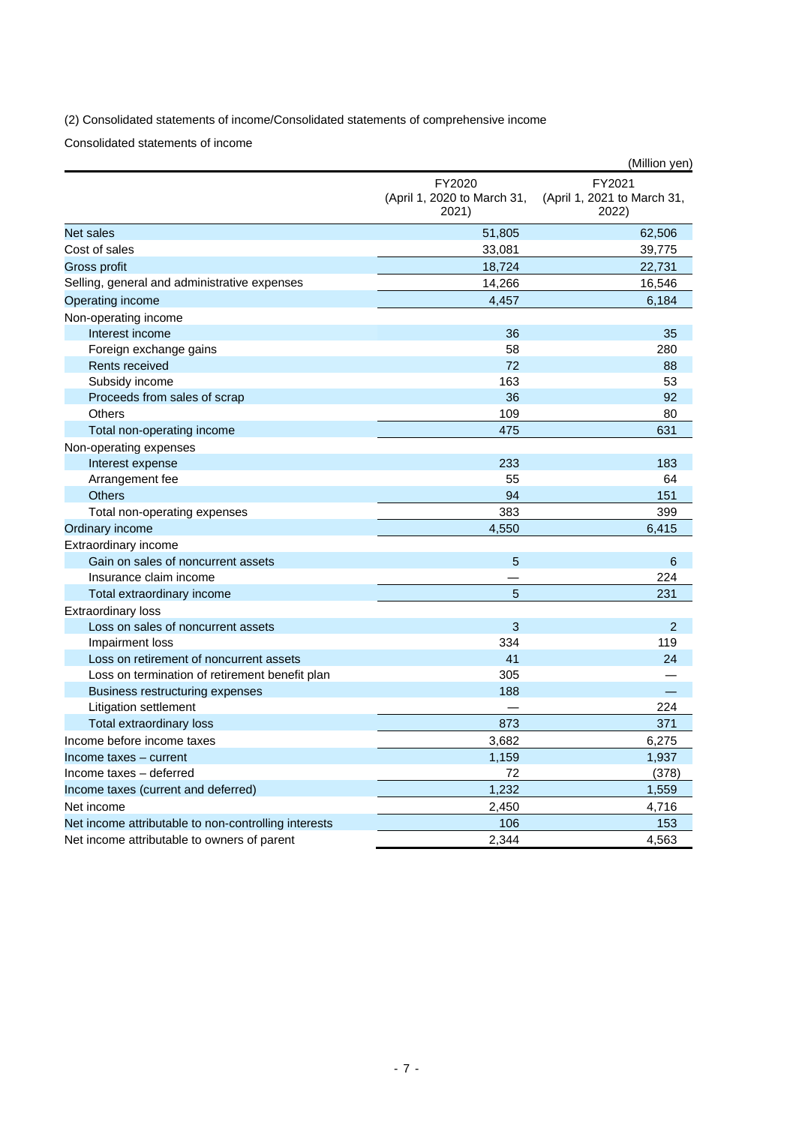(2) Consolidated statements of income/Consolidated statements of comprehensive income

Consolidated statements of income

|                                                      |                                                | (Million yen)                                  |
|------------------------------------------------------|------------------------------------------------|------------------------------------------------|
|                                                      | FY2020<br>(April 1, 2020 to March 31,<br>2021) | FY2021<br>(April 1, 2021 to March 31,<br>2022) |
| <b>Net sales</b>                                     | 51,805                                         | 62,506                                         |
| Cost of sales                                        | 33,081                                         | 39,775                                         |
| Gross profit                                         | 18,724                                         | 22,731                                         |
| Selling, general and administrative expenses         | 14,266                                         | 16,546                                         |
| Operating income                                     | 4,457                                          | 6,184                                          |
| Non-operating income                                 |                                                |                                                |
| Interest income                                      | 36                                             | 35                                             |
| Foreign exchange gains                               | 58                                             | 280                                            |
| <b>Rents received</b>                                | 72                                             | 88                                             |
| Subsidy income                                       | 163                                            | 53                                             |
| Proceeds from sales of scrap                         | 36                                             | 92                                             |
| Others                                               | 109                                            | 80                                             |
| Total non-operating income                           | 475                                            | 631                                            |
| Non-operating expenses                               |                                                |                                                |
| Interest expense                                     | 233                                            | 183                                            |
| Arrangement fee                                      | 55                                             | 64                                             |
| <b>Others</b>                                        | 94                                             | 151                                            |
| Total non-operating expenses                         | 383                                            | 399                                            |
| Ordinary income                                      | 4,550                                          | 6,415                                          |
| Extraordinary income                                 |                                                |                                                |
| Gain on sales of noncurrent assets                   | 5                                              | 6                                              |
| Insurance claim income                               |                                                | 224                                            |
| Total extraordinary income                           | 5                                              | 231                                            |
| <b>Extraordinary loss</b>                            |                                                |                                                |
| Loss on sales of noncurrent assets                   | 3                                              | $\overline{2}$                                 |
| Impairment loss                                      | 334                                            | 119                                            |
| Loss on retirement of noncurrent assets              | 41                                             | 24                                             |
| Loss on termination of retirement benefit plan       | 305                                            |                                                |
| Business restructuring expenses                      | 188                                            |                                                |
| Litigation settlement                                |                                                | 224                                            |
| Total extraordinary loss                             | 873                                            | 371                                            |
| Income before income taxes                           | 3,682                                          | 6,275                                          |
| Income taxes - current                               | 1,159                                          | 1,937                                          |
| Income taxes - deferred                              | 72                                             | (378)                                          |
| Income taxes (current and deferred)                  | 1,232                                          | 1,559                                          |
| Net income                                           | 2,450                                          | 4,716                                          |
| Net income attributable to non-controlling interests | 106                                            | 153                                            |
| Net income attributable to owners of parent          | 2,344                                          | 4,563                                          |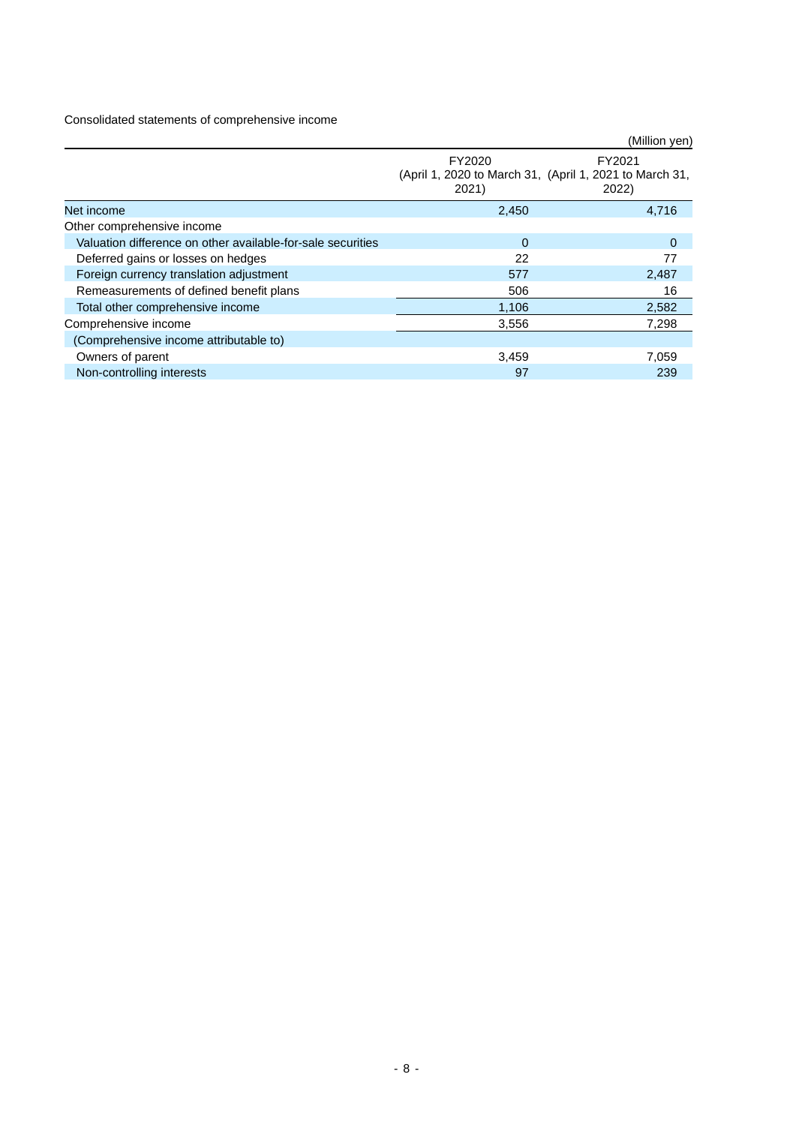Consolidated statements of comprehensive income

|                                                             |                                                                            | (Million yen)   |
|-------------------------------------------------------------|----------------------------------------------------------------------------|-----------------|
|                                                             | FY2020<br>(April 1, 2020 to March 31, (April 1, 2021 to March 31,<br>2021) | FY2021<br>2022) |
| Net income                                                  | 2,450                                                                      | 4,716           |
| Other comprehensive income                                  |                                                                            |                 |
| Valuation difference on other available-for-sale securities | $\Omega$                                                                   | $\mathbf{0}$    |
| Deferred gains or losses on hedges                          | 22                                                                         | 77              |
| Foreign currency translation adjustment                     | 577                                                                        | 2,487           |
| Remeasurements of defined benefit plans                     | 506                                                                        | 16              |
| Total other comprehensive income                            | 1,106                                                                      | 2,582           |
| Comprehensive income                                        | 3,556                                                                      | 7,298           |
| (Comprehensive income attributable to)                      |                                                                            |                 |
| Owners of parent                                            | 3,459                                                                      | 7,059           |
| Non-controlling interests                                   | 97                                                                         | 239             |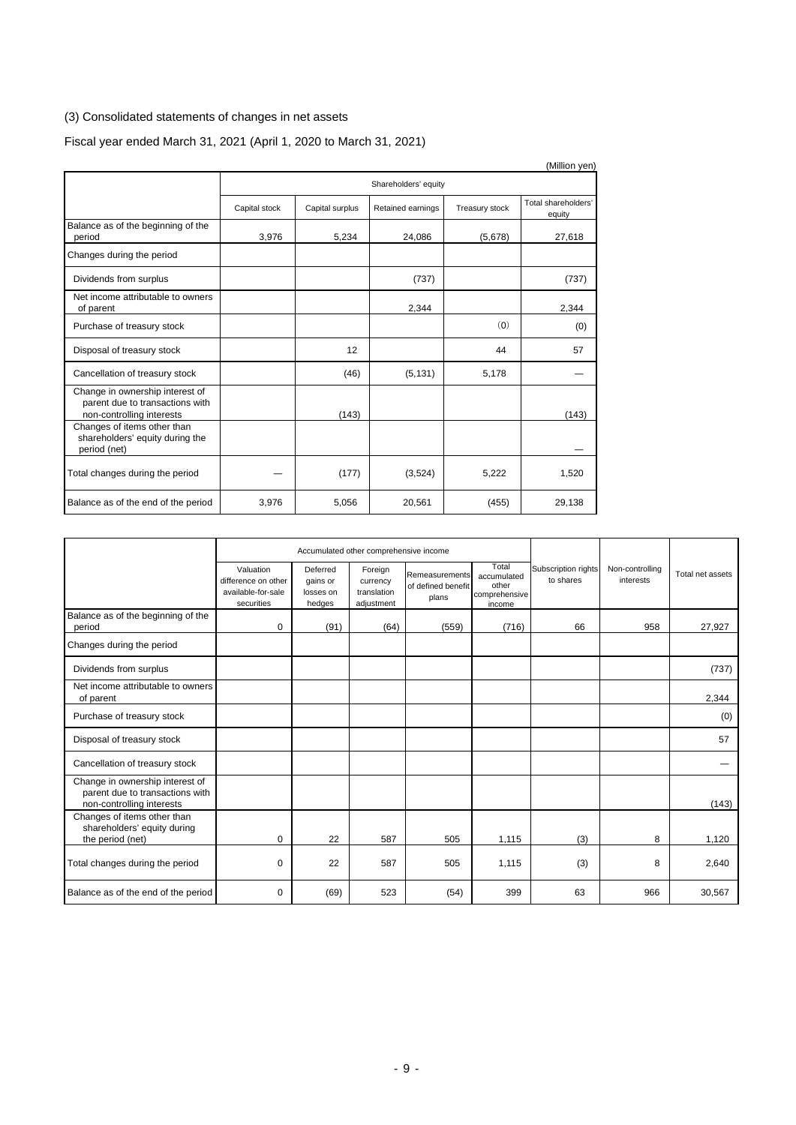# (3) Consolidated statements of changes in net assets

# Fiscal year ended March 31, 2021 (April 1, 2020 to March 31, 2021)

|                                                                                                 |               |                 |                      |                | (Million yen)                 |
|-------------------------------------------------------------------------------------------------|---------------|-----------------|----------------------|----------------|-------------------------------|
|                                                                                                 |               |                 | Shareholders' equity |                |                               |
|                                                                                                 | Capital stock | Capital surplus | Retained earnings    | Treasury stock | Total shareholders'<br>equity |
| Balance as of the beginning of the<br>period                                                    | 3,976         | 5,234           | 24,086               | (5,678)        | 27,618                        |
| Changes during the period                                                                       |               |                 |                      |                |                               |
| Dividends from surplus                                                                          |               |                 | (737)                |                | (737)                         |
| Net income attributable to owners<br>of parent                                                  |               |                 | 2,344                |                | 2,344                         |
| Purchase of treasury stock                                                                      |               |                 |                      | (0)            | (0)                           |
| Disposal of treasury stock                                                                      |               | 12              |                      | 44             | 57                            |
| Cancellation of treasury stock                                                                  |               | (46)            | (5, 131)             | 5,178          |                               |
| Change in ownership interest of<br>parent due to transactions with<br>non-controlling interests |               | (143)           |                      |                | (143)                         |
| Changes of items other than<br>shareholders' equity during the<br>period (net)                  |               |                 |                      |                |                               |
| Total changes during the period                                                                 |               | (177)           | (3, 524)             | 5,222          | 1,520                         |
| Balance as of the end of the period                                                             | 3,976         | 5,056           | 20,561               | (455)          | 29,138                        |

|                                                                                                 |                                                                      |                                             | Accumulated other comprehensive income           |                                               |                                                          |                                  |                              |                  |
|-------------------------------------------------------------------------------------------------|----------------------------------------------------------------------|---------------------------------------------|--------------------------------------------------|-----------------------------------------------|----------------------------------------------------------|----------------------------------|------------------------------|------------------|
|                                                                                                 | Valuation<br>difference on other<br>available-for-sale<br>securities | Deferred<br>gains or<br>losses on<br>hedges | Foreign<br>currency<br>translation<br>adjustment | Remeasurements<br>of defined benefit<br>plans | Total<br>accumulated<br>other<br>comprehensive<br>income | Subscription rights<br>to shares | Non-controlling<br>interests | Total net assets |
| Balance as of the beginning of the<br>period                                                    | 0                                                                    | (91)                                        | (64)                                             | (559)                                         | (716)                                                    | 66                               | 958                          | 27,927           |
| Changes during the period                                                                       |                                                                      |                                             |                                                  |                                               |                                                          |                                  |                              |                  |
| Dividends from surplus                                                                          |                                                                      |                                             |                                                  |                                               |                                                          |                                  |                              | (737)            |
| Net income attributable to owners<br>of parent                                                  |                                                                      |                                             |                                                  |                                               |                                                          |                                  |                              | 2,344            |
| Purchase of treasury stock                                                                      |                                                                      |                                             |                                                  |                                               |                                                          |                                  |                              | (0)              |
| Disposal of treasury stock                                                                      |                                                                      |                                             |                                                  |                                               |                                                          |                                  |                              | 57               |
| Cancellation of treasury stock                                                                  |                                                                      |                                             |                                                  |                                               |                                                          |                                  |                              |                  |
| Change in ownership interest of<br>parent due to transactions with<br>non-controlling interests |                                                                      |                                             |                                                  |                                               |                                                          |                                  |                              | (143)            |
| Changes of items other than<br>shareholders' equity during<br>the period (net)                  | 0                                                                    | 22                                          | 587                                              | 505                                           | 1,115                                                    | (3)                              | 8                            | 1,120            |
| Total changes during the period                                                                 | $\Omega$                                                             | 22                                          | 587                                              | 505                                           | 1,115                                                    | (3)                              | 8                            | 2,640            |
| Balance as of the end of the period                                                             | 0                                                                    | (69)                                        | 523                                              | (54)                                          | 399                                                      | 63                               | 966                          | 30,567           |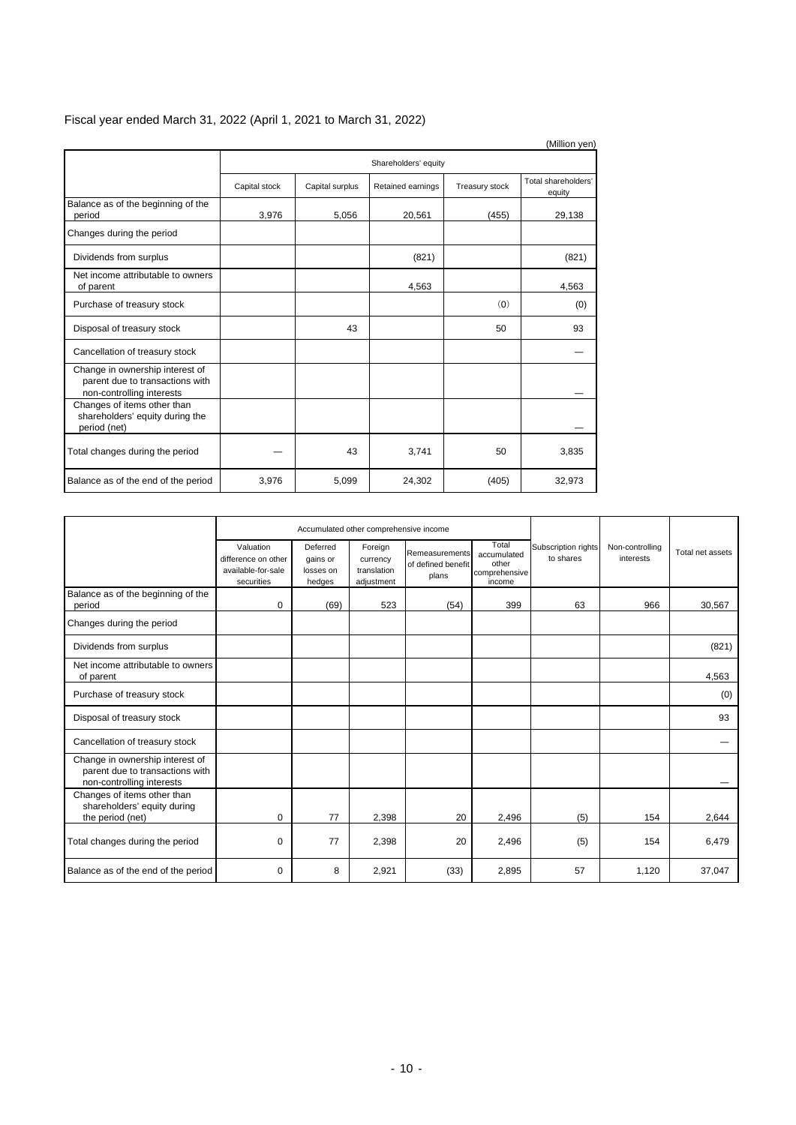|                                                                                                 |               |                 |                      |                | (Million yen)                 |
|-------------------------------------------------------------------------------------------------|---------------|-----------------|----------------------|----------------|-------------------------------|
|                                                                                                 |               |                 | Shareholders' equity |                |                               |
|                                                                                                 | Capital stock | Capital surplus | Retained earnings    | Treasury stock | Total shareholders'<br>equity |
| Balance as of the beginning of the<br>period                                                    | 3.976         | 5.056           | 20,561               | (455)          | 29,138                        |
| Changes during the period                                                                       |               |                 |                      |                |                               |
| Dividends from surplus                                                                          |               |                 | (821)                |                | (821)                         |
| Net income attributable to owners<br>of parent                                                  |               |                 | 4,563                |                | 4,563                         |
| Purchase of treasury stock                                                                      |               |                 |                      | (0)            | (0)                           |
| Disposal of treasury stock                                                                      |               | 43              |                      | 50             | 93                            |
| Cancellation of treasury stock                                                                  |               |                 |                      |                |                               |
| Change in ownership interest of<br>parent due to transactions with<br>non-controlling interests |               |                 |                      |                |                               |
| Changes of items other than<br>shareholders' equity during the<br>period (net)                  |               |                 |                      |                |                               |
| Total changes during the period                                                                 |               | 43              | 3,741                | 50             | 3,835                         |
| Balance as of the end of the period                                                             | 3,976         | 5,099           | 24,302               | (405)          | 32,973                        |

# Fiscal year ended March 31, 2022 (April 1, 2021 to March 31, 2022)

|                                                                                                 |                                                                      |                                             | Accumulated other comprehensive income           |                                               |                                                          |                                  |                              |                  |
|-------------------------------------------------------------------------------------------------|----------------------------------------------------------------------|---------------------------------------------|--------------------------------------------------|-----------------------------------------------|----------------------------------------------------------|----------------------------------|------------------------------|------------------|
|                                                                                                 | Valuation<br>difference on other<br>available-for-sale<br>securities | Deferred<br>gains or<br>losses on<br>hedges | Foreign<br>currency<br>translation<br>adjustment | Remeasurements<br>of defined benefit<br>plans | Total<br>accumulated<br>other<br>comprehensive<br>income | Subscription rights<br>to shares | Non-controlling<br>interests | Total net assets |
| Balance as of the beginning of the<br>period                                                    | 0                                                                    | (69)                                        | 523                                              | (54)                                          | 399                                                      | 63                               | 966                          | 30,567           |
| Changes during the period                                                                       |                                                                      |                                             |                                                  |                                               |                                                          |                                  |                              |                  |
| Dividends from surplus                                                                          |                                                                      |                                             |                                                  |                                               |                                                          |                                  |                              | (821)            |
| Net income attributable to owners<br>of parent                                                  |                                                                      |                                             |                                                  |                                               |                                                          |                                  |                              | 4,563            |
| Purchase of treasury stock                                                                      |                                                                      |                                             |                                                  |                                               |                                                          |                                  |                              | (0)              |
| Disposal of treasury stock                                                                      |                                                                      |                                             |                                                  |                                               |                                                          |                                  |                              | 93               |
| Cancellation of treasury stock                                                                  |                                                                      |                                             |                                                  |                                               |                                                          |                                  |                              |                  |
| Change in ownership interest of<br>parent due to transactions with<br>non-controlling interests |                                                                      |                                             |                                                  |                                               |                                                          |                                  |                              |                  |
| Changes of items other than<br>shareholders' equity during<br>the period (net)                  | 0                                                                    | 77                                          | 2,398                                            | 20                                            | 2,496                                                    | (5)                              | 154                          | 2.644            |
| Total changes during the period                                                                 | 0                                                                    | 77                                          | 2,398                                            | 20                                            | 2,496                                                    | (5)                              | 154                          | 6,479            |
| Balance as of the end of the period                                                             | $\Omega$                                                             | 8                                           | 2,921                                            | (33)                                          | 2,895                                                    | 57                               | 1,120                        | 37,047           |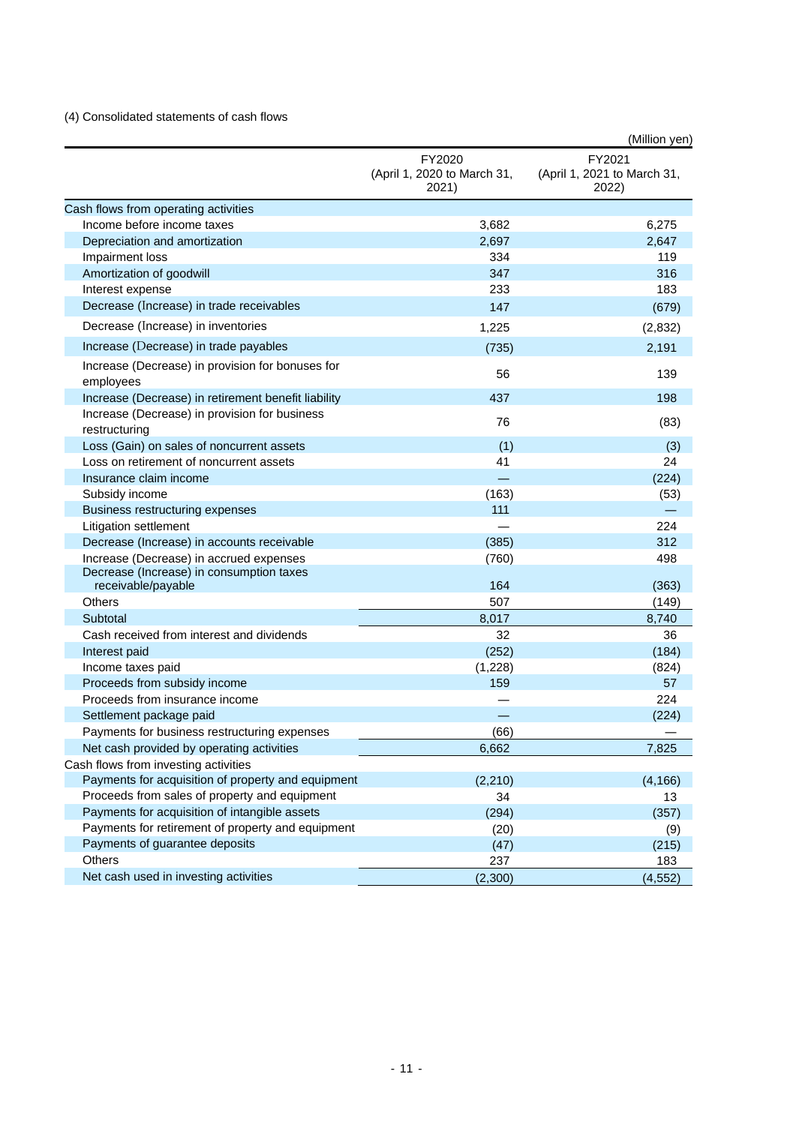# (4) Consolidated statements of cash flows

|                                                                |                                                | (Million yen)                                  |
|----------------------------------------------------------------|------------------------------------------------|------------------------------------------------|
|                                                                | FY2020<br>(April 1, 2020 to March 31,<br>2021) | FY2021<br>(April 1, 2021 to March 31,<br>2022) |
| Cash flows from operating activities                           |                                                |                                                |
| Income before income taxes                                     | 3,682                                          | 6,275                                          |
| Depreciation and amortization                                  | 2,697                                          | 2,647                                          |
| Impairment loss                                                | 334                                            | 119                                            |
| Amortization of goodwill                                       | 347                                            | 316                                            |
| Interest expense                                               | 233                                            | 183                                            |
| Decrease (Increase) in trade receivables                       | 147                                            | (679)                                          |
| Decrease (Increase) in inventories                             | 1,225                                          | (2, 832)                                       |
| Increase (Decrease) in trade payables                          | (735)                                          | 2,191                                          |
| Increase (Decrease) in provision for bonuses for<br>employees  | 56                                             | 139                                            |
| Increase (Decrease) in retirement benefit liability            | 437                                            | 198                                            |
| Increase (Decrease) in provision for business<br>restructuring | 76                                             | (83)                                           |
| Loss (Gain) on sales of noncurrent assets                      | (1)                                            | (3)                                            |
| Loss on retirement of noncurrent assets                        | 41                                             | 24                                             |
| Insurance claim income                                         | ᆖ                                              | (224)                                          |
| Subsidy income                                                 | (163)                                          | (53)                                           |
| Business restructuring expenses                                | 111                                            |                                                |
| Litigation settlement                                          |                                                | 224                                            |
| Decrease (Increase) in accounts receivable                     | (385)                                          | 312                                            |
| Increase (Decrease) in accrued expenses                        | (760)                                          | 498                                            |
| Decrease (Increase) in consumption taxes<br>receivable/payable | 164                                            | (363)                                          |
| Others                                                         | 507                                            | (149)                                          |
| Subtotal                                                       | 8,017                                          | 8,740                                          |
| Cash received from interest and dividends                      | 32                                             | 36                                             |
| Interest paid                                                  | (252)                                          | (184)                                          |
| Income taxes paid                                              | (1,228)                                        | (824)                                          |
| Proceeds from subsidy income                                   | 159                                            | 57                                             |
| Proceeds from insurance income                                 |                                                | 224                                            |
| Settlement package paid                                        |                                                | (224)                                          |
| Payments for business restructuring expenses                   | (66)                                           |                                                |
| Net cash provided by operating activities                      | 6,662                                          | 7,825                                          |
| Cash flows from investing activities                           |                                                |                                                |
| Payments for acquisition of property and equipment             | (2, 210)                                       | (4, 166)                                       |
| Proceeds from sales of property and equipment                  | 34                                             | 13                                             |
| Payments for acquisition of intangible assets                  | (294)                                          | (357)                                          |
| Payments for retirement of property and equipment              | (20)                                           | (9)                                            |
| Payments of guarantee deposits                                 | (47)                                           | (215)                                          |
| Others                                                         | 237                                            | 183                                            |
| Net cash used in investing activities                          | (2,300)                                        | (4, 552)                                       |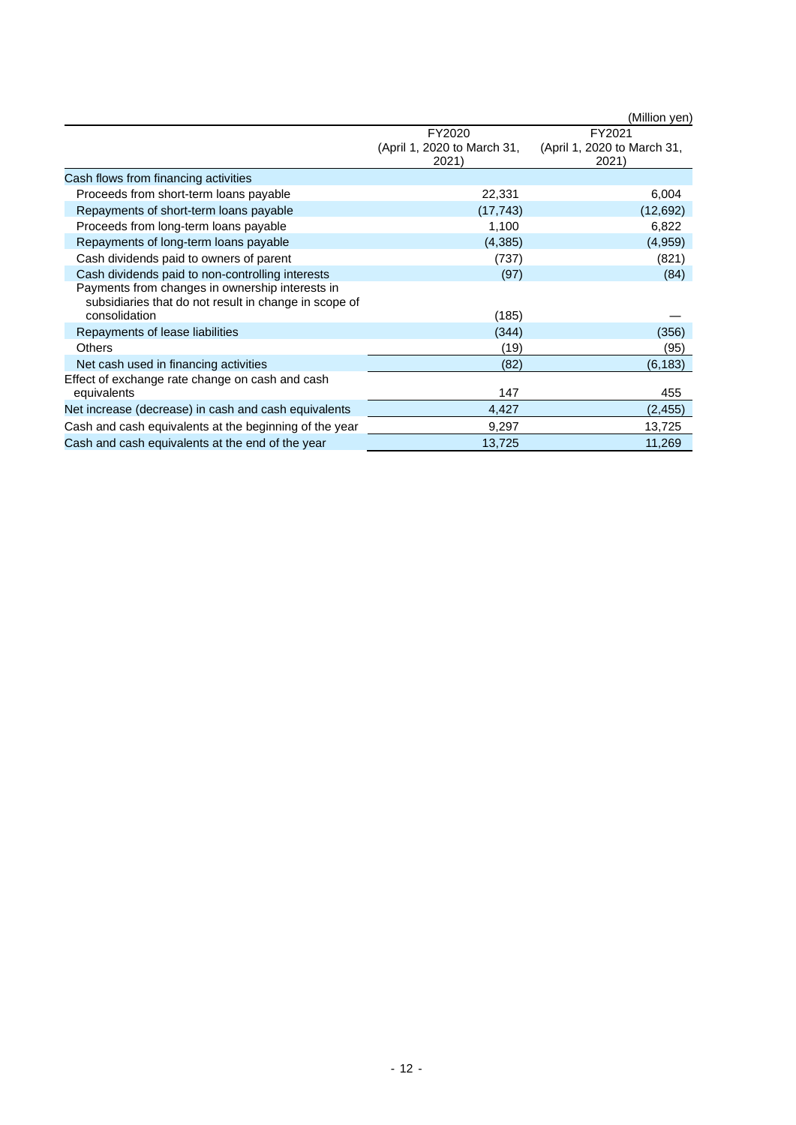|                                                                                                          |                                      | (Million yen)                        |
|----------------------------------------------------------------------------------------------------------|--------------------------------------|--------------------------------------|
|                                                                                                          | FY2020                               | FY2021                               |
|                                                                                                          | (April 1, 2020 to March 31,<br>2021) | (April 1, 2020 to March 31,<br>2021) |
| Cash flows from financing activities                                                                     |                                      |                                      |
| Proceeds from short-term loans payable                                                                   | 22,331                               | 6,004                                |
| Repayments of short-term loans payable                                                                   | (17, 743)                            | (12,692)                             |
| Proceeds from long-term loans payable                                                                    | 1,100                                | 6,822                                |
| Repayments of long-term loans payable                                                                    | (4,385)                              | (4,959)                              |
| Cash dividends paid to owners of parent                                                                  | (737)                                | (821)                                |
| Cash dividends paid to non-controlling interests                                                         | (97)                                 | (84)                                 |
| Payments from changes in ownership interests in<br>subsidiaries that do not result in change in scope of |                                      |                                      |
| consolidation                                                                                            | (185)                                |                                      |
| Repayments of lease liabilities                                                                          | (344)                                | (356)                                |
| <b>Others</b>                                                                                            | (19)                                 | (95)                                 |
| Net cash used in financing activities                                                                    | (82)                                 | (6, 183)                             |
| Effect of exchange rate change on cash and cash<br>equivalents                                           | 147                                  | 455                                  |
| Net increase (decrease) in cash and cash equivalents                                                     | 4,427                                | (2, 455)                             |
| Cash and cash equivalents at the beginning of the year                                                   | 9,297                                | 13,725                               |
| Cash and cash equivalents at the end of the year                                                         | 13,725                               | 11,269                               |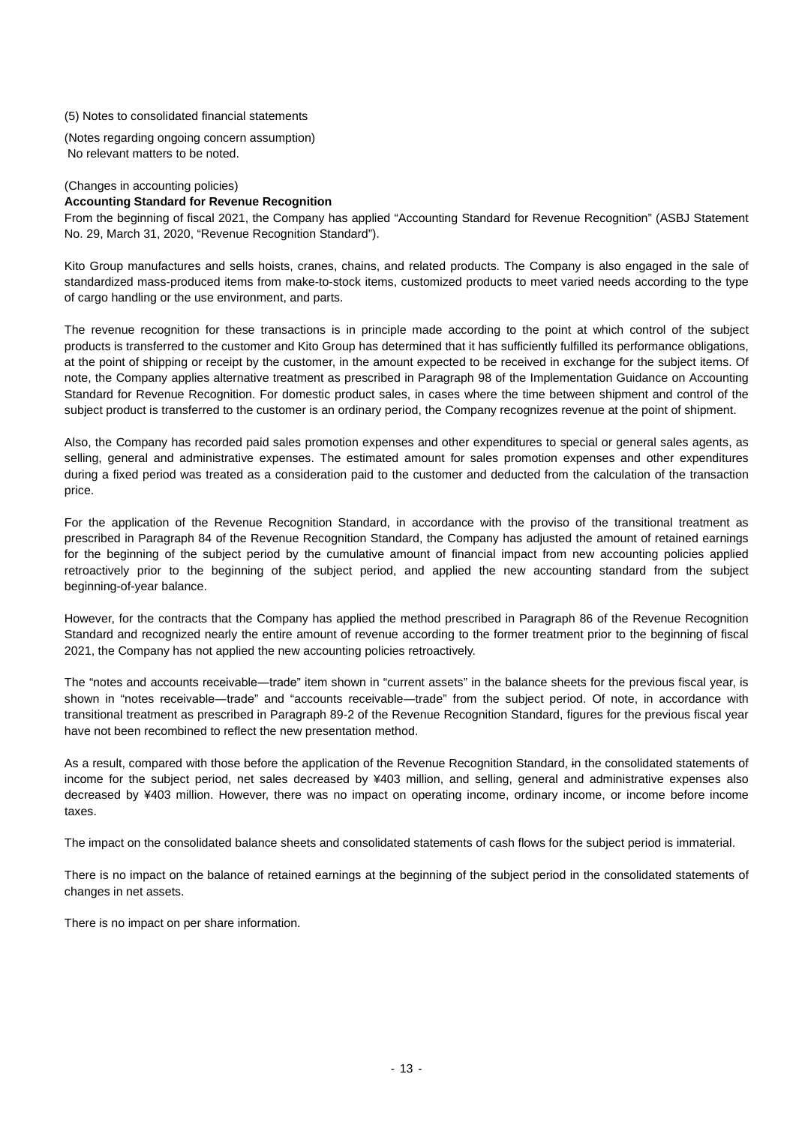(5) Notes to consolidated financial statements

(Notes regarding ongoing concern assumption) No relevant matters to be noted.

# (Changes in accounting policies)

## **Accounting Standard for Revenue Recognition**

From the beginning of fiscal 2021, the Company has applied "Accounting Standard for Revenue Recognition" (ASBJ Statement No. 29, March 31, 2020, "Revenue Recognition Standard").

Kito Group manufactures and sells hoists, cranes, chains, and related products. The Company is also engaged in the sale of standardized mass-produced items from make-to-stock items, customized products to meet varied needs according to the type of cargo handling or the use environment, and parts.

The revenue recognition for these transactions is in principle made according to the point at which control of the subject products is transferred to the customer and Kito Group has determined that it has sufficiently fulfilled its performance obligations, at the point of shipping or receipt by the customer, in the amount expected to be received in exchange for the subject items. Of note, the Company applies alternative treatment as prescribed in Paragraph 98 of the Implementation Guidance on Accounting Standard for Revenue Recognition. For domestic product sales, in cases where the time between shipment and control of the subject product is transferred to the customer is an ordinary period, the Company recognizes revenue at the point of shipment.

Also, the Company has recorded paid sales promotion expenses and other expenditures to special or general sales agents, as selling, general and administrative expenses. The estimated amount for sales promotion expenses and other expenditures during a fixed period was treated as a consideration paid to the customer and deducted from the calculation of the transaction price.

For the application of the Revenue Recognition Standard, in accordance with the proviso of the transitional treatment as prescribed in Paragraph 84 of the Revenue Recognition Standard, the Company has adjusted the amount of retained earnings for the beginning of the subject period by the cumulative amount of financial impact from new accounting policies applied retroactively prior to the beginning of the subject period, and applied the new accounting standard from the subject beginning-of-year balance.

However, for the contracts that the Company has applied the method prescribed in Paragraph 86 of the Revenue Recognition Standard and recognized nearly the entire amount of revenue according to the former treatment prior to the beginning of fiscal 2021, the Company has not applied the new accounting policies retroactively.

The "notes and accounts receivable―trade" item shown in "current assets" in the balance sheets for the previous fiscal year, is shown in "notes receivable—trade" and "accounts receivable—trade" from the subject period. Of note, in accordance with transitional treatment as prescribed in Paragraph 89-2 of the Revenue Recognition Standard, figures for the previous fiscal year have not been recombined to reflect the new presentation method.

As a result, compared with those before the application of the Revenue Recognition Standard, in the consolidated statements of income for the subject period, net sales decreased by ¥403 million, and selling, general and administrative expenses also decreased by ¥403 million. However, there was no impact on operating income, ordinary income, or income before income taxes.

The impact on the consolidated balance sheets and consolidated statements of cash flows for the subject period is immaterial.

There is no impact on the balance of retained earnings at the beginning of the subject period in the consolidated statements of changes in net assets.

There is no impact on per share information.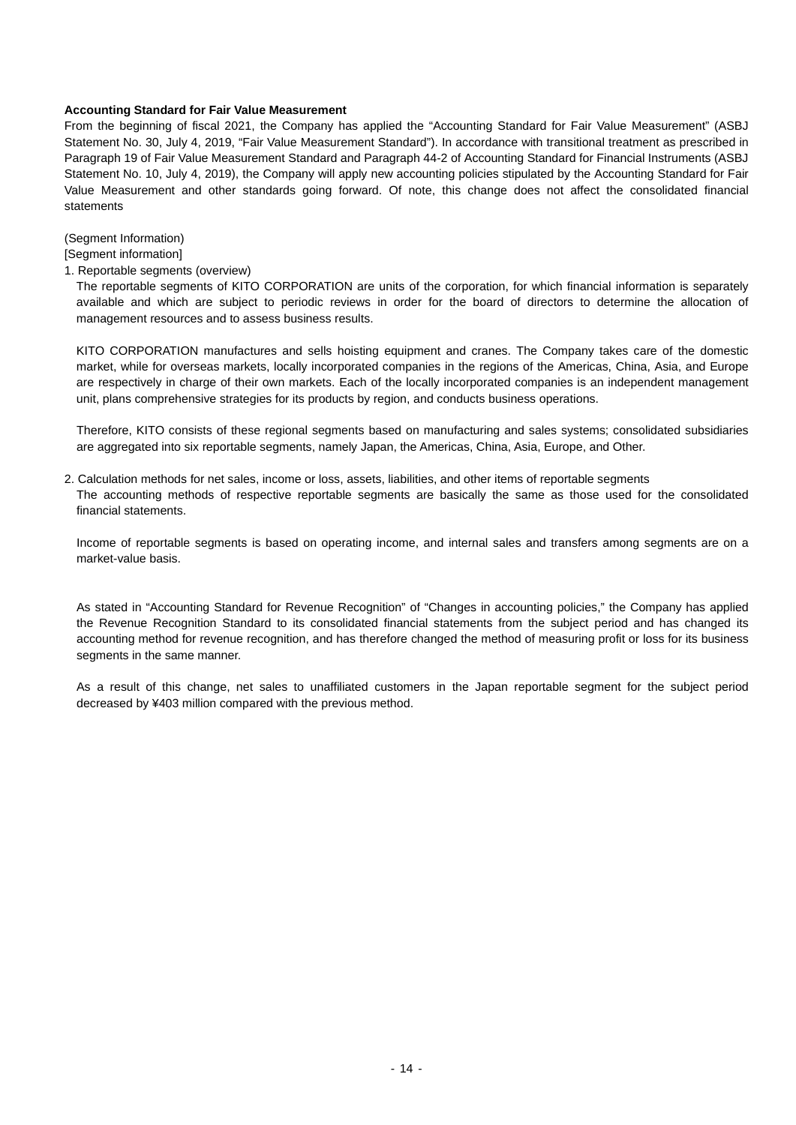### **Accounting Standard for Fair Value Measurement**

From the beginning of fiscal 2021, the Company has applied the "Accounting Standard for Fair Value Measurement" (ASBJ Statement No. 30, July 4, 2019, "Fair Value Measurement Standard"). In accordance with transitional treatment as prescribed in Paragraph 19 of Fair Value Measurement Standard and Paragraph 44-2 of Accounting Standard for Financial Instruments (ASBJ Statement No. 10, July 4, 2019), the Company will apply new accounting policies stipulated by the Accounting Standard for Fair Value Measurement and other standards going forward. Of note, this change does not affect the consolidated financial statements

(Segment Information)

[Segment information]

1. Reportable segments (overview)

The reportable segments of KITO CORPORATION are units of the corporation, for which financial information is separately available and which are subject to periodic reviews in order for the board of directors to determine the allocation of management resources and to assess business results.

KITO CORPORATION manufactures and sells hoisting equipment and cranes. The Company takes care of the domestic market, while for overseas markets, locally incorporated companies in the regions of the Americas, China, Asia, and Europe are respectively in charge of their own markets. Each of the locally incorporated companies is an independent management unit, plans comprehensive strategies for its products by region, and conducts business operations.

Therefore, KITO consists of these regional segments based on manufacturing and sales systems; consolidated subsidiaries are aggregated into six reportable segments, namely Japan, the Americas, China, Asia, Europe, and Other.

2. Calculation methods for net sales, income or loss, assets, liabilities, and other items of reportable segments The accounting methods of respective reportable segments are basically the same as those used for the consolidated financial statements.

Income of reportable segments is based on operating income, and internal sales and transfers among segments are on a market-value basis.

As stated in "Accounting Standard for Revenue Recognition" of "Changes in accounting policies," the Company has applied the Revenue Recognition Standard to its consolidated financial statements from the subject period and has changed its accounting method for revenue recognition, and has therefore changed the method of measuring profit or loss for its business segments in the same manner.

As a result of this change, net sales to unaffiliated customers in the Japan reportable segment for the subject period decreased by ¥403 million compared with the previous method.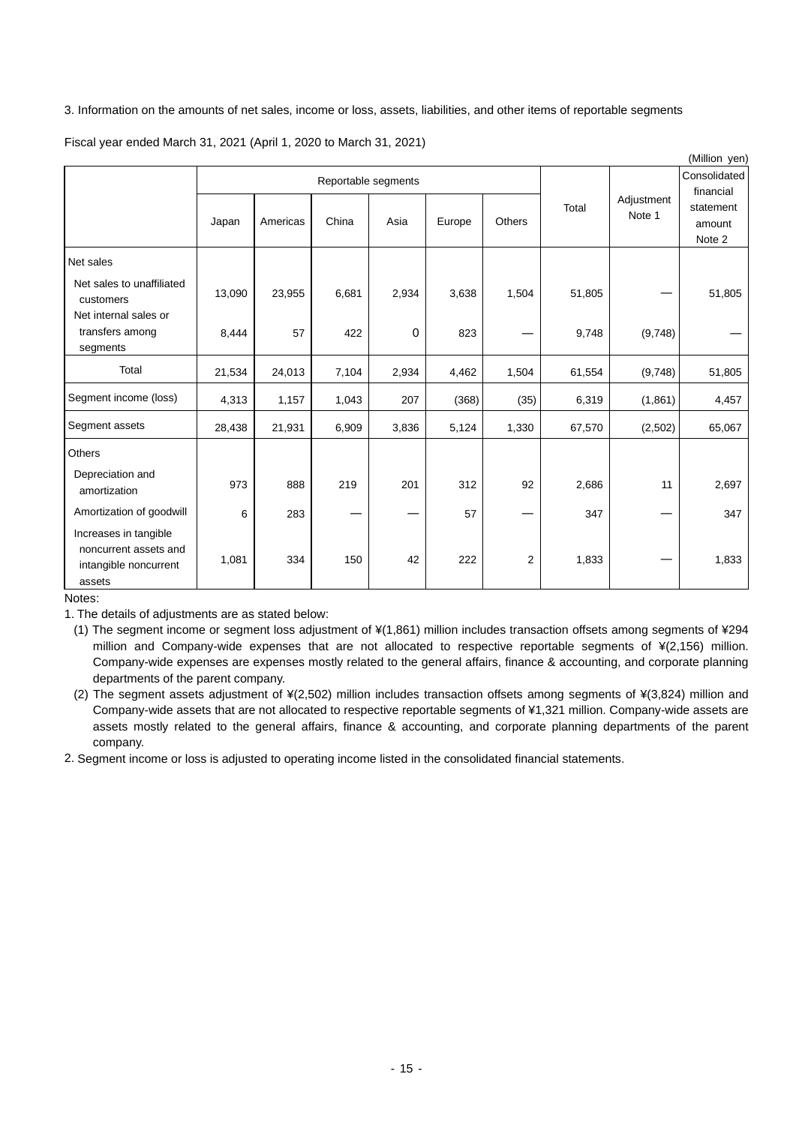# 3. Information on the amounts of net sales, income or loss, assets, liabilities, and other items of reportable segments

Fiscal year ended March 31, 2021 (April 1, 2020 to March 31, 2021)

|                                                                                   |        |          |                     |       |        |                           |        |                      | (Million yen)                 |
|-----------------------------------------------------------------------------------|--------|----------|---------------------|-------|--------|---------------------------|--------|----------------------|-------------------------------|
|                                                                                   |        |          | Reportable segments |       |        | Consolidated<br>financial |        |                      |                               |
|                                                                                   | Japan  | Americas | China               | Asia  | Europe | Others                    | Total  | Adjustment<br>Note 1 | statement<br>amount<br>Note 2 |
| Net sales                                                                         |        |          |                     |       |        |                           |        |                      |                               |
| Net sales to unaffiliated<br>customers<br>Net internal sales or                   | 13,090 | 23,955   | 6,681               | 2,934 | 3,638  | 1,504                     | 51,805 |                      | 51,805                        |
| transfers among<br>segments                                                       | 8,444  | 57       | 422                 | 0     | 823    |                           | 9,748  | (9,748)              |                               |
| Total                                                                             | 21,534 | 24,013   | 7,104               | 2,934 | 4,462  | 1,504                     | 61,554 | (9,748)              | 51,805                        |
| Segment income (loss)                                                             | 4,313  | 1,157    | 1,043               | 207   | (368)  | (35)                      | 6,319  | (1,861)              | 4,457                         |
| Segment assets                                                                    | 28,438 | 21,931   | 6,909               | 3,836 | 5,124  | 1,330                     | 67,570 | (2, 502)             | 65,067                        |
| Others                                                                            |        |          |                     |       |        |                           |        |                      |                               |
| Depreciation and<br>amortization                                                  | 973    | 888      | 219                 | 201   | 312    | 92                        | 2,686  | 11                   | 2,697                         |
| Amortization of goodwill                                                          | 6      | 283      |                     |       | 57     |                           | 347    |                      | 347                           |
| Increases in tangible<br>noncurrent assets and<br>intangible noncurrent<br>assets | 1,081  | 334      | 150                 | 42    | 222    | $\overline{2}$            | 1,833  |                      | 1,833                         |

Notes:

1. The details of adjustments are as stated below:

(1) The segment income or segment loss adjustment of ¥(1,861) million includes transaction offsets among segments of ¥294 million and Company-wide expenses that are not allocated to respective reportable segments of ¥(2,156) million. Company-wide expenses are expenses mostly related to the general affairs, finance & accounting, and corporate planning departments of the parent company.

(2) The segment assets adjustment of ¥(2,502) million includes transaction offsets among segments of ¥(3,824) million and Company-wide assets that are not allocated to respective reportable segments of ¥1,321 million. Company-wide assets are assets mostly related to the general affairs, finance & accounting, and corporate planning departments of the parent company.

2. Segment income or loss is adjusted to operating income listed in the consolidated financial statements.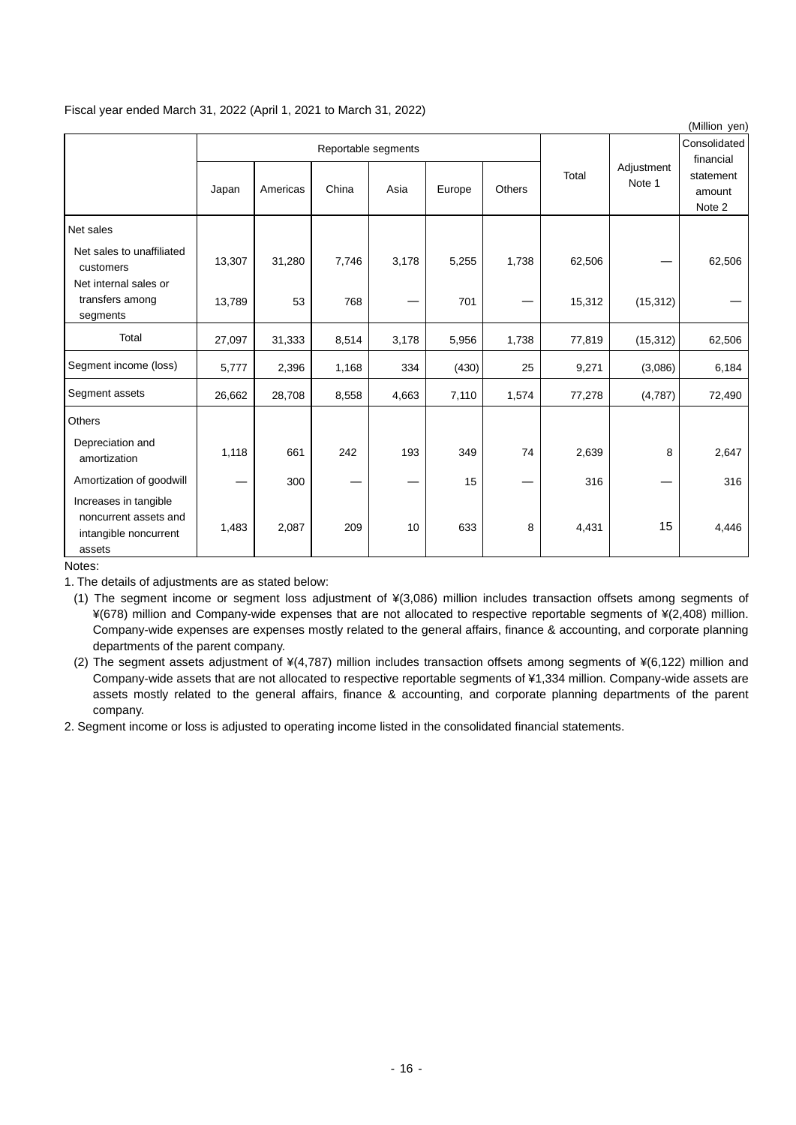# Fiscal year ended March 31, 2022 (April 1, 2021 to March 31, 2022)

|                                                                                   |        |          |                     |       |        |                           |        |                      | (Million yen)                 |
|-----------------------------------------------------------------------------------|--------|----------|---------------------|-------|--------|---------------------------|--------|----------------------|-------------------------------|
|                                                                                   |        |          | Reportable segments |       |        | Consolidated<br>financial |        |                      |                               |
|                                                                                   | Japan  | Americas | China               | Asia  | Europe | Others                    | Total  | Adjustment<br>Note 1 | statement<br>amount<br>Note 2 |
| Net sales                                                                         |        |          |                     |       |        |                           |        |                      |                               |
| Net sales to unaffiliated<br>customers                                            | 13,307 | 31,280   | 7,746               | 3,178 | 5,255  | 1,738                     | 62,506 |                      | 62,506                        |
| Net internal sales or<br>transfers among<br>segments                              | 13,789 | 53       | 768                 |       | 701    |                           | 15,312 | (15, 312)            |                               |
| Total                                                                             | 27,097 | 31,333   | 8,514               | 3,178 | 5,956  | 1,738                     | 77,819 | (15, 312)            | 62,506                        |
| Segment income (loss)                                                             | 5,777  | 2,396    | 1,168               | 334   | (430)  | 25                        | 9,271  | (3,086)              | 6,184                         |
| Segment assets                                                                    | 26,662 | 28,708   | 8,558               | 4,663 | 7,110  | 1,574                     | 77,278 | (4,787)              | 72,490                        |
| Others                                                                            |        |          |                     |       |        |                           |        |                      |                               |
| Depreciation and<br>amortization                                                  | 1,118  | 661      | 242                 | 193   | 349    | 74                        | 2,639  | 8                    | 2,647                         |
| Amortization of goodwill                                                          |        | 300      |                     |       | 15     |                           | 316    |                      | 316                           |
| Increases in tangible<br>noncurrent assets and<br>intangible noncurrent<br>assets | 1,483  | 2,087    | 209                 | 10    | 633    | 8                         | 4,431  | 15                   | 4,446                         |

Notes:

1. The details of adjustments are as stated below:

(1) The segment income or segment loss adjustment of ¥(3,086) million includes transaction offsets among segments of ¥(678) million and Company-wide expenses that are not allocated to respective reportable segments of ¥(2,408) million. Company-wide expenses are expenses mostly related to the general affairs, finance & accounting, and corporate planning departments of the parent company.

(2) The segment assets adjustment of ¥(4,787) million includes transaction offsets among segments of ¥(6,122) million and Company-wide assets that are not allocated to respective reportable segments of ¥1,334 million. Company-wide assets are assets mostly related to the general affairs, finance & accounting, and corporate planning departments of the parent company.

2. Segment income or loss is adjusted to operating income listed in the consolidated financial statements.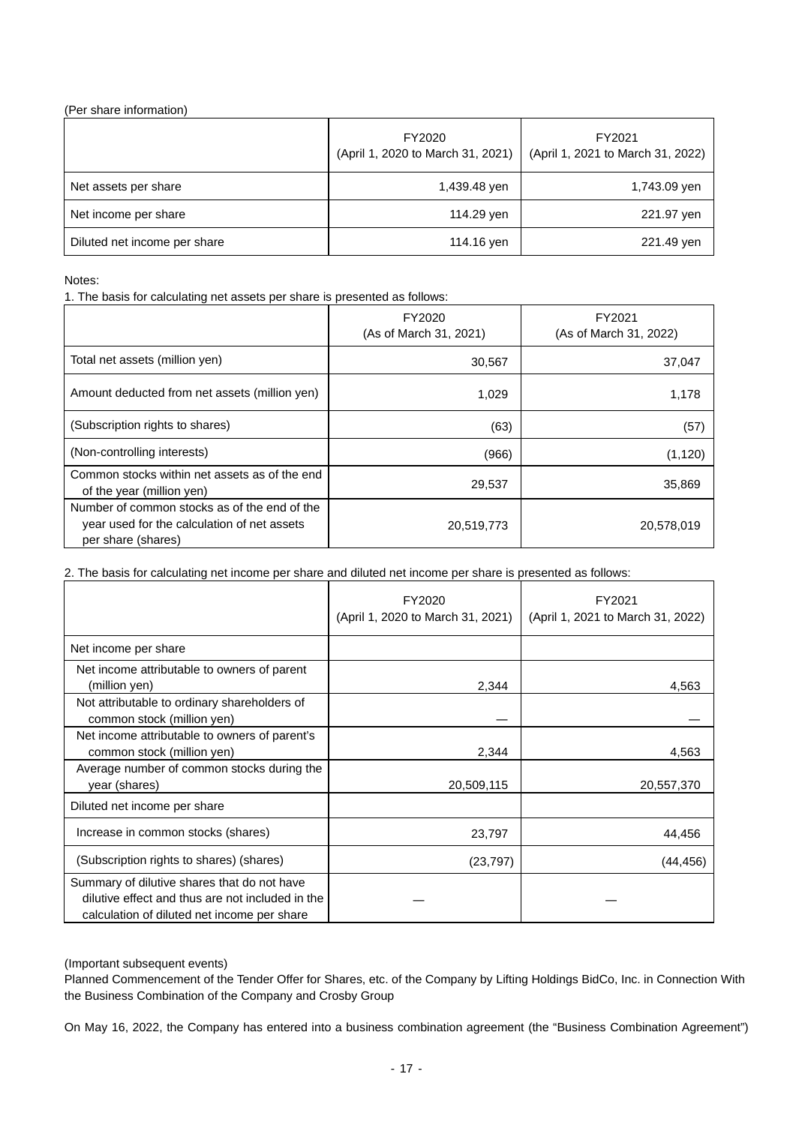# (Per share information)

|                              | FY2020<br>(April 1, 2020 to March 31, 2021) | FY2021<br>(April 1, 2021 to March 31, 2022) |
|------------------------------|---------------------------------------------|---------------------------------------------|
| Net assets per share         | 1,439.48 yen                                | 1,743.09 yen                                |
| Net income per share         | 114.29 yen                                  | 221.97 yen                                  |
| Diluted net income per share | 114.16 yen                                  | 221.49 yen                                  |

# Notes:

1. The basis for calculating net assets per share is presented as follows:

|                                                                                                                   | FY2020<br>(As of March 31, 2021) | FY2021<br>(As of March 31, 2022) |
|-------------------------------------------------------------------------------------------------------------------|----------------------------------|----------------------------------|
| Total net assets (million yen)                                                                                    | 30,567                           | 37,047                           |
| Amount deducted from net assets (million yen)                                                                     | 1.029                            | 1,178                            |
| (Subscription rights to shares)                                                                                   | (63)                             | (57)                             |
| (Non-controlling interests)                                                                                       | (966)                            | (1, 120)                         |
| Common stocks within net assets as of the end<br>of the year (million yen)                                        | 29,537                           | 35,869                           |
| Number of common stocks as of the end of the<br>year used for the calculation of net assets<br>per share (shares) | 20,519,773                       | 20,578,019                       |

2. The basis for calculating net income per share and diluted net income per share is presented as follows:

|                                                                                                                                                | FY2020<br>(April 1, 2020 to March 31, 2021) | FY2021<br>(April 1, 2021 to March 31, 2022) |
|------------------------------------------------------------------------------------------------------------------------------------------------|---------------------------------------------|---------------------------------------------|
| Net income per share                                                                                                                           |                                             |                                             |
| Net income attributable to owners of parent<br>(million yen)                                                                                   | 2,344                                       | 4,563                                       |
| Not attributable to ordinary shareholders of<br>common stock (million yen)                                                                     |                                             |                                             |
| Net income attributable to owners of parent's<br>common stock (million yen)                                                                    | 2,344                                       | 4,563                                       |
| Average number of common stocks during the<br>year (shares)                                                                                    | 20,509,115                                  | 20,557,370                                  |
| Diluted net income per share                                                                                                                   |                                             |                                             |
| Increase in common stocks (shares)                                                                                                             | 23,797                                      | 44,456                                      |
| (Subscription rights to shares) (shares)                                                                                                       | (23, 797)                                   | (44,456)                                    |
| Summary of dilutive shares that do not have<br>dilutive effect and thus are not included in the<br>calculation of diluted net income per share |                                             |                                             |

# (Important subsequent events)

Planned Commencement of the Tender Offer for Shares, etc. of the Company by Lifting Holdings BidCo, Inc. in Connection With the Business Combination of the Company and Crosby Group

On May 16, 2022, the Company has entered into a business combination agreement (the "Business Combination Agreement")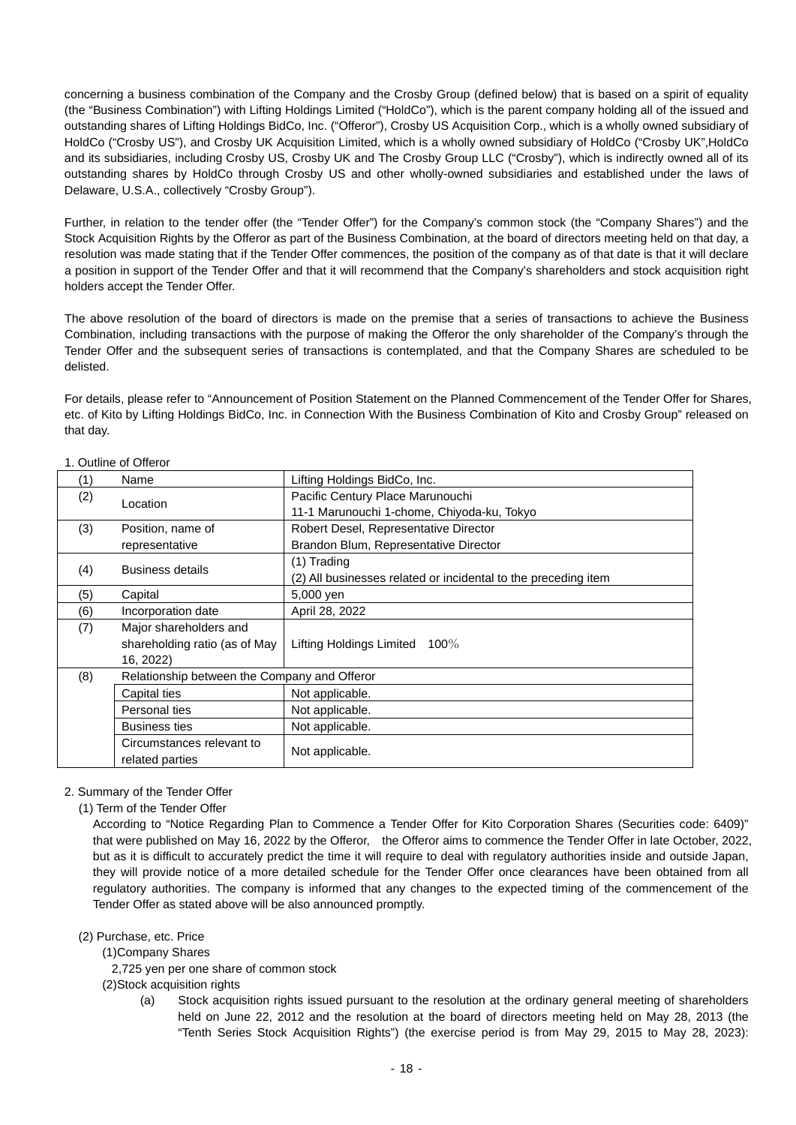concerning a business combination of the Company and the Crosby Group (defined below) that is based on a spirit of equality (the "Business Combination") with Lifting Holdings Limited ("HoldCo"), which is the parent company holding all of the issued and outstanding shares of Lifting Holdings BidCo, Inc. ("Offeror"), Crosby US Acquisition Corp., which is a wholly owned subsidiary of HoldCo ("Crosby US"), and Crosby UK Acquisition Limited, which is a wholly owned subsidiary of HoldCo ("Crosby UK",HoldCo and its subsidiaries, including Crosby US, Crosby UK and The Crosby Group LLC ("Crosby"), which is indirectly owned all of its outstanding shares by HoldCo through Crosby US and other wholly-owned subsidiaries and established under the laws of Delaware, U.S.A., collectively "Crosby Group").

Further, in relation to the tender offer (the "Tender Offer") for the Company's common stock (the "Company Shares") and the Stock Acquisition Rights by the Offeror as part of the Business Combination, at the board of directors meeting held on that day, a resolution was made stating that if the Tender Offer commences, the position of the company as of that date is that it will declare a position in support of the Tender Offer and that it will recommend that the Company's shareholders and stock acquisition right holders accept the Tender Offer.

The above resolution of the board of directors is made on the premise that a series of transactions to achieve the Business Combination, including transactions with the purpose of making the Offeror the only shareholder of the Company's through the Tender Offer and the subsequent series of transactions is contemplated, and that the Company Shares are scheduled to be delisted.

For details, please refer to "Announcement of Position Statement on the Planned Commencement of the Tender Offer for Shares, etc. of Kito by Lifting Holdings BidCo, Inc. in Connection With the Business Combination of Kito and Crosby Group" released on that day.

| (1)      | Name                                         | Lifting Holdings BidCo, Inc.                                   |  |
|----------|----------------------------------------------|----------------------------------------------------------------|--|
| (2)      |                                              | Pacific Century Place Marunouchi                               |  |
| Location | 11-1 Marunouchi 1-chome, Chiyoda-ku, Tokyo   |                                                                |  |
| (3)      | Position, name of                            | Robert Desel, Representative Director                          |  |
|          | representative                               | Brandon Blum, Representative Director                          |  |
| (4)      | <b>Business details</b>                      | $(1)$ Trading                                                  |  |
|          |                                              | (2) All businesses related or incidental to the preceding item |  |
| (5)      | Capital                                      | 5,000 yen                                                      |  |
| (6)      | Incorporation date                           | April 28, 2022                                                 |  |
| (7)      | Major shareholders and                       |                                                                |  |
|          | shareholding ratio (as of May                | <b>Lifting Holdings Limited</b><br>$100\%$                     |  |
|          | 16, 2022)                                    |                                                                |  |
| (8)      | Relationship between the Company and Offeror |                                                                |  |
|          | Capital ties                                 | Not applicable.                                                |  |
|          | Personal ties                                | Not applicable.                                                |  |
|          | <b>Business ties</b>                         | Not applicable.                                                |  |
|          | Circumstances relevant to                    |                                                                |  |
|          | related parties                              | Not applicable.                                                |  |

# 1. Outline of Offeror

# 2. Summary of the Tender Offer

(1) Term of the Tender Offer

According to "Notice Regarding Plan to Commence a Tender Offer for Kito Corporation Shares (Securities code: 6409)" that were published on May 16, 2022 by the Offeror, the Offeror aims to commence the Tender Offer in late October, 2022, but as it is difficult to accurately predict the time it will require to deal with regulatory authorities inside and outside Japan, they will provide notice of a more detailed schedule for the Tender Offer once clearances have been obtained from all regulatory authorities. The company is informed that any changes to the expected timing of the commencement of the Tender Offer as stated above will be also announced promptly.

(2) Purchase, etc. Price

(1)Company Shares

2,725 yen per one share of common stock

(2)Stock acquisition rights

(a) Stock acquisition rights issued pursuant to the resolution at the ordinary general meeting of shareholders held on June 22, 2012 and the resolution at the board of directors meeting held on May 28, 2013 (the "Tenth Series Stock Acquisition Rights") (the exercise period is from May 29, 2015 to May 28, 2023):